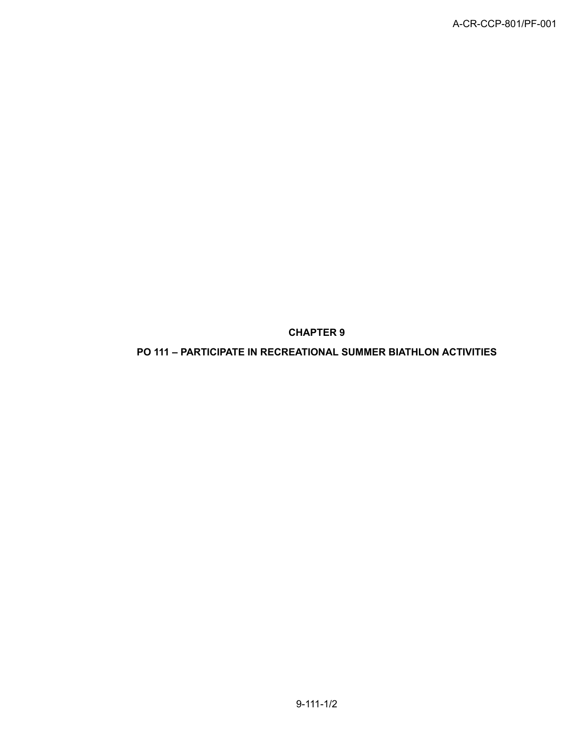**CHAPTER 9**

**PO 111 – PARTICIPATE IN RECREATIONAL SUMMER BIATHLON ACTIVITIES**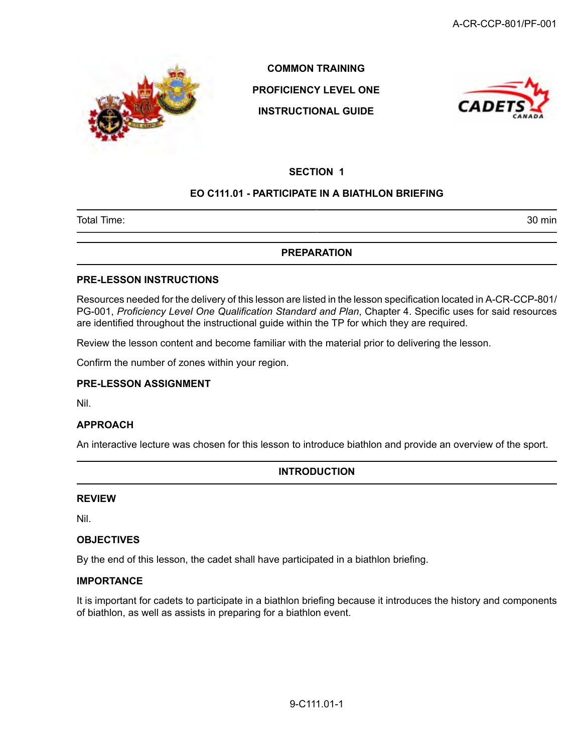

**COMMON TRAINING**

**PROFICIENCY LEVEL ONE**

**INSTRUCTIONAL GUIDE**



#### **SECTION 1**

#### **EO C111.01 - PARTICIPATE IN A BIATHLON BRIEFING**

Total Time: 30 min

# **PREPARATION**

#### **PRE-LESSON INSTRUCTIONS**

Resources needed for the delivery of this lesson are listed in the lesson specification located in A-CR-CCP-801/ PG-001, *Proficiency Level One Qualification Standard and Plan*, Chapter 4. Specific uses for said resources are identified throughout the instructional guide within the TP for which they are required.

Review the lesson content and become familiar with the material prior to delivering the lesson.

Confirm the number of zones within your region.

## **PRE-LESSON ASSIGNMENT**

Nil.

#### **APPROACH**

An interactive lecture was chosen for this lesson to introduce biathlon and provide an overview of the sport.

### **INTRODUCTION**

#### **REVIEW**

Nil.

#### **OBJECTIVES**

By the end of this lesson, the cadet shall have participated in a biathlon briefing.

#### **IMPORTANCE**

It is important for cadets to participate in a biathlon briefing because it introduces the history and components of biathlon, as well as assists in preparing for a biathlon event.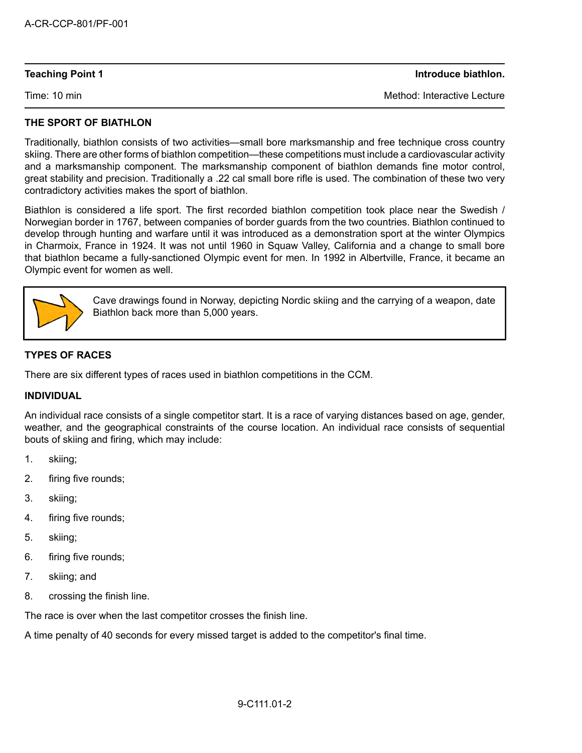**Teaching Point 1 Introduce biathlon.**

Time: 10 min Method: Interactive Lecture Communication of the Method: Interactive Lecture

# **THE SPORT OF BIATHLON**

Traditionally, biathlon consists of two activities—small bore marksmanship and free technique cross country skiing. There are other forms of biathlon competition—these competitions must include a cardiovascular activity and a marksmanship component. The marksmanship component of biathlon demands fine motor control, great stability and precision. Traditionally a .22 cal small bore rifle is used. The combination of these two very contradictory activities makes the sport of biathlon.

Biathlon is considered a life sport. The first recorded biathlon competition took place near the Swedish / Norwegian border in 1767, between companies of border guards from the two countries. Biathlon continued to develop through hunting and warfare until it was introduced as a demonstration sport at the winter Olympics in Charmoix, France in 1924. It was not until 1960 in Squaw Valley, California and a change to small bore that biathlon became a fully-sanctioned Olympic event for men. In 1992 in Albertville, France, it became an Olympic event for women as well.



Cave drawings found in Norway, depicting Nordic skiing and the carrying of a weapon, date Biathlon back more than 5,000 years.

# **TYPES OF RACES**

There are six different types of races used in biathlon competitions in the CCM.

### **INDIVIDUAL**

An individual race consists of a single competitor start. It is a race of varying distances based on age, gender, weather, and the geographical constraints of the course location. An individual race consists of sequential bouts of skiing and firing, which may include:

- 1. skiing;
- 2. firing five rounds;
- 3. skiing;
- 4. firing five rounds;
- 5. skiing;
- 6. firing five rounds;
- 7. skiing; and
- 8. crossing the finish line.

The race is over when the last competitor crosses the finish line.

A time penalty of 40 seconds for every missed target is added to the competitor's final time.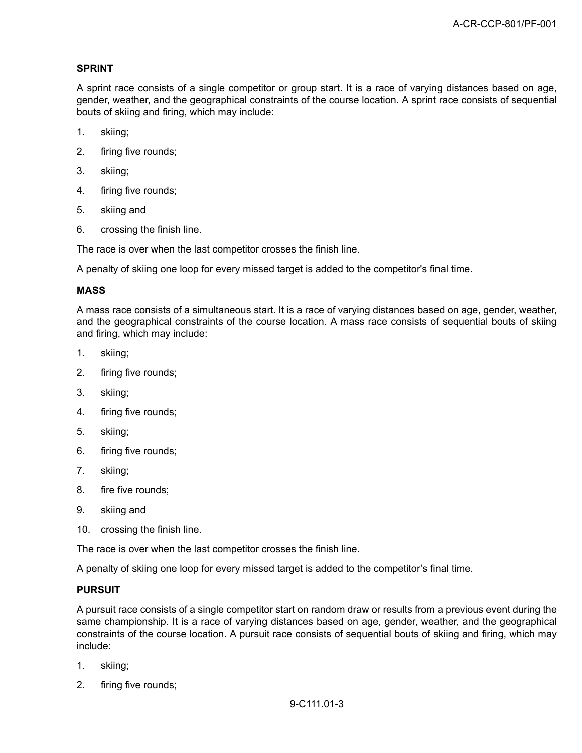# **SPRINT**

A sprint race consists of a single competitor or group start. It is a race of varying distances based on age, gender, weather, and the geographical constraints of the course location. A sprint race consists of sequential bouts of skiing and firing, which may include:

- 1. skiing;
- 2. firing five rounds;
- 3. skiing;
- 4. firing five rounds;
- 5. skiing and
- 6. crossing the finish line.

The race is over when the last competitor crosses the finish line.

A penalty of skiing one loop for every missed target is added to the competitor's final time.

#### **MASS**

A mass race consists of a simultaneous start. It is a race of varying distances based on age, gender, weather, and the geographical constraints of the course location. A mass race consists of sequential bouts of skiing and firing, which may include:

- 1. skiing;
- 2. firing five rounds;
- 3. skiing;
- 4. firing five rounds;
- 5. skiing;
- 6. firing five rounds;
- 7. skiing;
- 8. fire five rounds;
- 9. skiing and
- 10. crossing the finish line.

The race is over when the last competitor crosses the finish line.

A penalty of skiing one loop for every missed target is added to the competitor's final time.

### **PURSUIT**

A pursuit race consists of a single competitor start on random draw or results from a previous event during the same championship. It is a race of varying distances based on age, gender, weather, and the geographical constraints of the course location. A pursuit race consists of sequential bouts of skiing and firing, which may include:

- 1. skiing;
- 2. firing five rounds;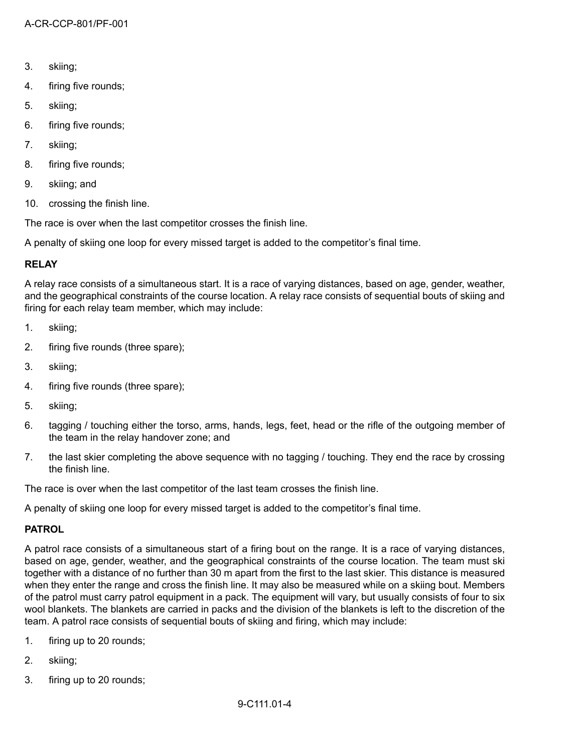- 3. skiing;
- 4. firing five rounds;
- 5. skiing;
- 6. firing five rounds;
- 7. skiing;
- 8. firing five rounds;
- 9. skiing; and
- 10. crossing the finish line.

The race is over when the last competitor crosses the finish line.

A penalty of skiing one loop for every missed target is added to the competitor's final time.

# **RELAY**

A relay race consists of a simultaneous start. It is a race of varying distances, based on age, gender, weather, and the geographical constraints of the course location. A relay race consists of sequential bouts of skiing and firing for each relay team member, which may include:

- 1. skiing;
- 2. firing five rounds (three spare);
- 3. skiing;
- 4. firing five rounds (three spare);
- 5. skiing;
- 6. tagging / touching either the torso, arms, hands, legs, feet, head or the rifle of the outgoing member of the team in the relay handover zone; and
- 7. the last skier completing the above sequence with no tagging / touching. They end the race by crossing the finish line.

The race is over when the last competitor of the last team crosses the finish line.

A penalty of skiing one loop for every missed target is added to the competitor's final time.

# **PATROL**

A patrol race consists of a simultaneous start of a firing bout on the range. It is a race of varying distances, based on age, gender, weather, and the geographical constraints of the course location. The team must ski together with a distance of no further than 30 m apart from the first to the last skier. This distance is measured when they enter the range and cross the finish line. It may also be measured while on a skiing bout. Members of the patrol must carry patrol equipment in a pack. The equipment will vary, but usually consists of four to six wool blankets. The blankets are carried in packs and the division of the blankets is left to the discretion of the team. A patrol race consists of sequential bouts of skiing and firing, which may include:

- 1. firing up to 20 rounds;
- 2. skiing;
- 3. firing up to 20 rounds;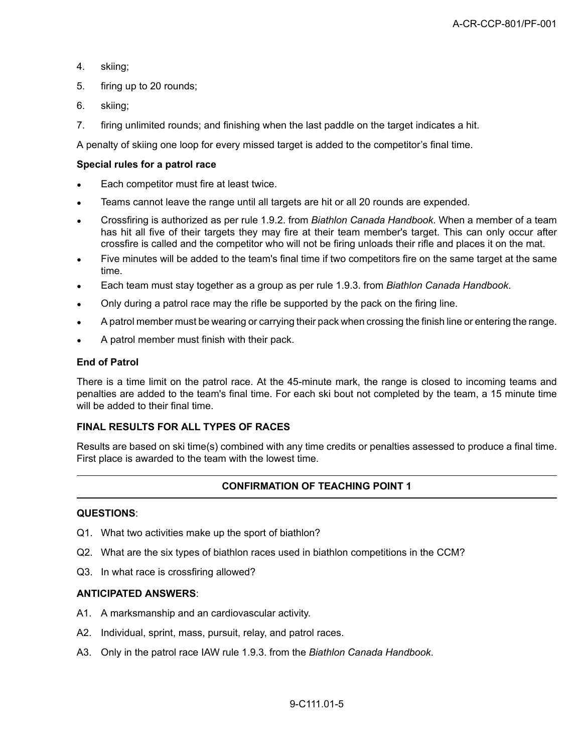- 4. skiing;
- 5. firing up to 20 rounds;
- 6. skiing;
- 7. firing unlimited rounds; and finishing when the last paddle on the target indicates a hit.

A penalty of skiing one loop for every missed target is added to the competitor's final time.

#### **Special rules for a patrol race**

- Each competitor must fire at least twice.
- Teams cannot leave the range until all targets are hit or all 20 rounds are expended.
- Crossfiring is authorized as per rule 1.9.2. from *Biathlon Canada Handbook*. When a member of a team has hit all five of their targets they may fire at their team member's target. This can only occur after crossfire is called and the competitor who will not be firing unloads their rifle and places it on the mat.
- Five minutes will be added to the team's final time if two competitors fire on the same target at the same time.
- Each team must stay together as a group as per rule 1.9.3. from *Biathlon Canada Handbook*.
- Only during a patrol race may the rifle be supported by the pack on the firing line.
- A patrol member must be wearing or carrying their pack when crossing the finish line or entering the range.
- A patrol member must finish with their pack.

#### **End of Patrol**

There is a time limit on the patrol race. At the 45-minute mark, the range is closed to incoming teams and penalties are added to the team's final time. For each ski bout not completed by the team, a 15 minute time will be added to their final time.

#### **FINAL RESULTS FOR ALL TYPES OF RACES**

Results are based on ski time(s) combined with any time credits or penalties assessed to produce a final time. First place is awarded to the team with the lowest time.

### **CONFIRMATION OF TEACHING POINT 1**

#### **QUESTIONS**:

- Q1. What two activities make up the sport of biathlon?
- Q2. What are the six types of biathlon races used in biathlon competitions in the CCM?
- Q3. In what race is crossfiring allowed?

### **ANTICIPATED ANSWERS**:

- A1. A marksmanship and an cardiovascular activity.
- A2. Individual, sprint, mass, pursuit, relay, and patrol races.
- A3. Only in the patrol race IAW rule 1.9.3. from the *Biathlon Canada Handbook*.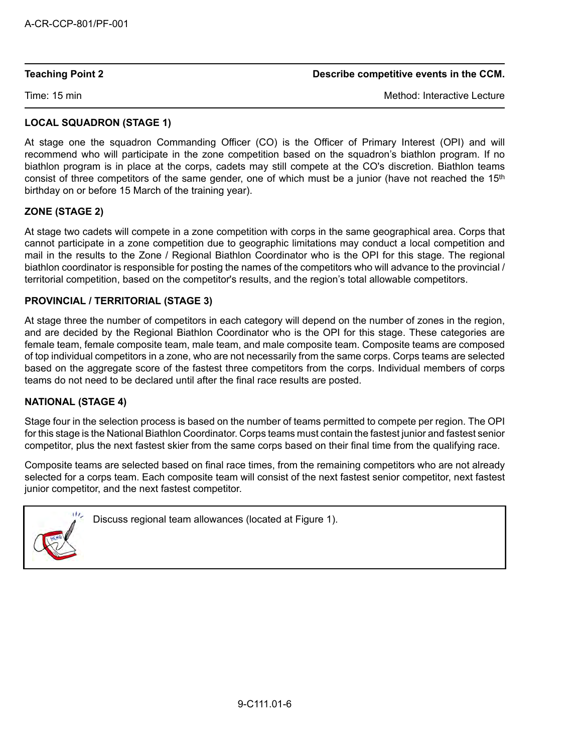**Teaching Point 2 Describe competitive events in the CCM.**

Time: 15 min Method: Interactive Lecture Communication of the Method: Interactive Lecture

# **LOCAL SQUADRON (STAGE 1)**

At stage one the squadron Commanding Officer (CO) is the Officer of Primary Interest (OPI) and will recommend who will participate in the zone competition based on the squadron's biathlon program. If no biathlon program is in place at the corps, cadets may still compete at the CO's discretion. Biathlon teams consist of three competitors of the same gender, one of which must be a junior (have not reached the 15<sup>th</sup> birthday on or before 15 March of the training year).

# **ZONE (STAGE 2)**

At stage two cadets will compete in a zone competition with corps in the same geographical area. Corps that cannot participate in a zone competition due to geographic limitations may conduct a local competition and mail in the results to the Zone / Regional Biathlon Coordinator who is the OPI for this stage. The regional biathlon coordinator is responsible for posting the names of the competitors who will advance to the provincial / territorial competition, based on the competitor's results, and the region's total allowable competitors.

# **PROVINCIAL / TERRITORIAL (STAGE 3)**

At stage three the number of competitors in each category will depend on the number of zones in the region, and are decided by the Regional Biathlon Coordinator who is the OPI for this stage. These categories are female team, female composite team, male team, and male composite team. Composite teams are composed of top individual competitors in a zone, who are not necessarily from the same corps. Corps teams are selected based on the aggregate score of the fastest three competitors from the corps. Individual members of corps teams do not need to be declared until after the final race results are posted.

### **NATIONAL (STAGE 4)**

Stage four in the selection process is based on the number of teams permitted to compete per region. The OPI for this stage is the National Biathlon Coordinator. Corps teams must contain the fastest junior and fastest senior competitor, plus the next fastest skier from the same corps based on their final time from the qualifying race.

Composite teams are selected based on final race times, from the remaining competitors who are not already selected for a corps team. Each composite team will consist of the next fastest senior competitor, next fastest junior competitor, and the next fastest competitor.



Discuss regional team allowances (located at Figure 1).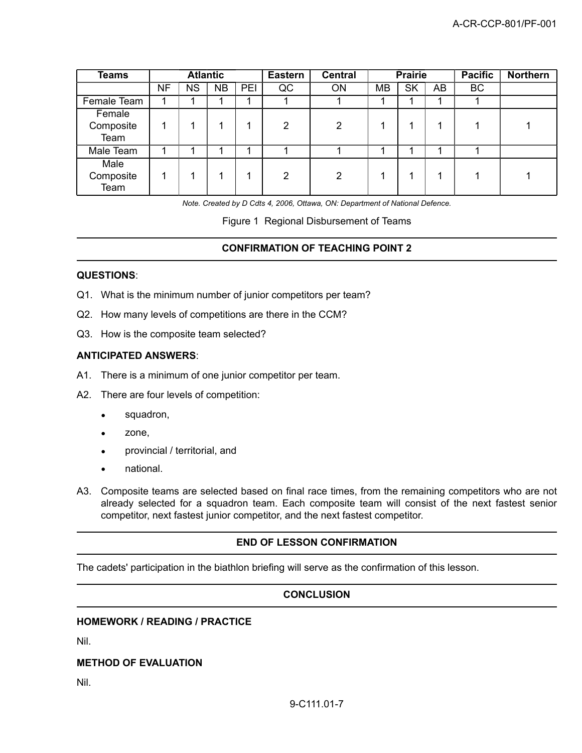| <b>Teams</b>                | <b>Atlantic</b> |           |           | <b>Eastern</b> | <b>Central</b> | <b>Prairie</b> |    |           | <b>Pacific</b> | <b>Northern</b> |  |
|-----------------------------|-----------------|-----------|-----------|----------------|----------------|----------------|----|-----------|----------------|-----------------|--|
|                             | <b>NF</b>       | <b>NS</b> | <b>NB</b> | PEI            | QC             | ON             | MB | <b>SK</b> | AB             | <b>BC</b>       |  |
| Female Team                 |                 |           | л         |                |                |                |    |           |                |                 |  |
| Female<br>Composite<br>Team |                 |           | 1         |                | 2              | 2              |    |           |                |                 |  |
| Male Team                   |                 |           | л         |                |                |                |    |           |                |                 |  |
| Male<br>Composite<br>Team   |                 |           | 1         |                | $\overline{2}$ | 2              |    |           | л              |                 |  |

*Note. Created by D Cdts 4, 2006, Ottawa, ON: Department of National Defence.*

Figure 1 Regional Disbursement of Teams

# **CONFIRMATION OF TEACHING POINT 2**

#### **QUESTIONS**:

- Q1. What is the minimum number of junior competitors per team?
- Q2. How many levels of competitions are there in the CCM?
- Q3. How is the composite team selected?

#### **ANTICIPATED ANSWERS**:

- A1. There is a minimum of one junior competitor per team.
- A2. There are four levels of competition:
	- squadron,
	- zone,
	- provincial / territorial, and
	- national.
- A3. Composite teams are selected based on final race times, from the remaining competitors who are not already selected for a squadron team. Each composite team will consist of the next fastest senior competitor, next fastest junior competitor, and the next fastest competitor.

### **END OF LESSON CONFIRMATION**

The cadets' participation in the biathlon briefing will serve as the confirmation of this lesson.

## **CONCLUSION**

# **HOMEWORK / READING / PRACTICE**

Nil.

#### **METHOD OF EVALUATION**

Nil.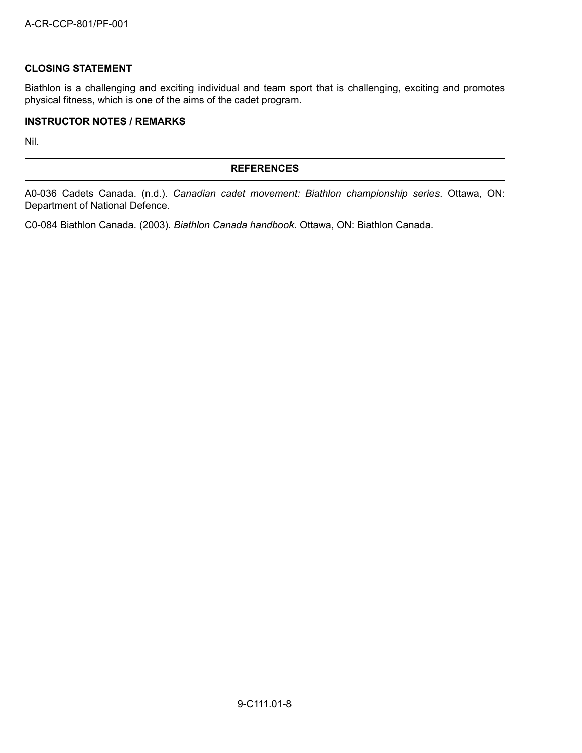# **CLOSING STATEMENT**

Biathlon is a challenging and exciting individual and team sport that is challenging, exciting and promotes physical fitness, which is one of the aims of the cadet program.

# **INSTRUCTOR NOTES / REMARKS**

Nil.

#### **REFERENCES**

A0-036 Cadets Canada. (n.d.). *Canadian cadet movement: Biathlon championship series*. Ottawa, ON: Department of National Defence.

C0-084 Biathlon Canada. (2003). *Biathlon Canada handbook*. Ottawa, ON: Biathlon Canada.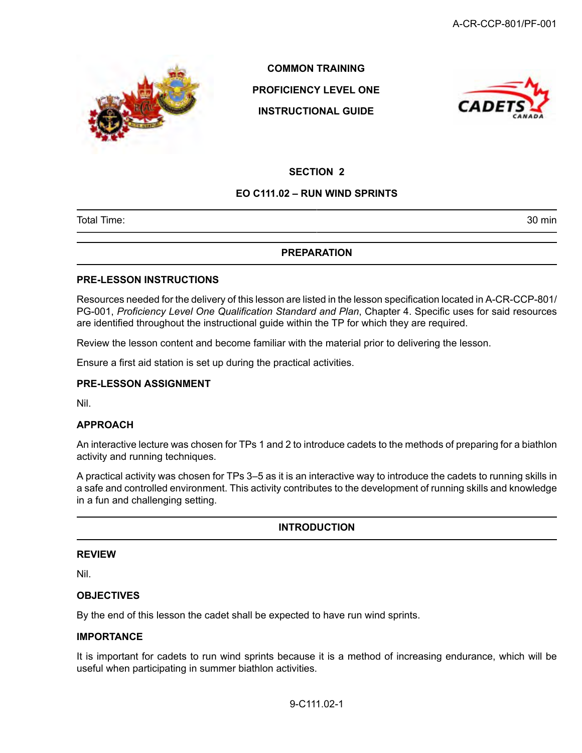

**COMMON TRAINING PROFICIENCY LEVEL ONE**

**INSTRUCTIONAL GUIDE**



# **SECTION 2**

### **EO C111.02 – RUN WIND SPRINTS**

Total Time: 30 min

# **PREPARATION**

#### **PRE-LESSON INSTRUCTIONS**

Resources needed for the delivery of this lesson are listed in the lesson specification located in A-CR-CCP-801/ PG-001, *Proficiency Level One Qualification Standard and Plan*, Chapter 4. Specific uses for said resources are identified throughout the instructional guide within the TP for which they are required.

Review the lesson content and become familiar with the material prior to delivering the lesson.

Ensure a first aid station is set up during the practical activities.

#### **PRE-LESSON ASSIGNMENT**

Nil.

#### **APPROACH**

An interactive lecture was chosen for TPs 1 and 2 to introduce cadets to the methods of preparing for a biathlon activity and running techniques.

A practical activity was chosen for TPs 3–5 as it is an interactive way to introduce the cadets to running skills in a safe and controlled environment. This activity contributes to the development of running skills and knowledge in a fun and challenging setting.

### **INTRODUCTION**

#### **REVIEW**

Nil.

#### **OBJECTIVES**

By the end of this lesson the cadet shall be expected to have run wind sprints.

#### **IMPORTANCE**

It is important for cadets to run wind sprints because it is a method of increasing endurance, which will be useful when participating in summer biathlon activities.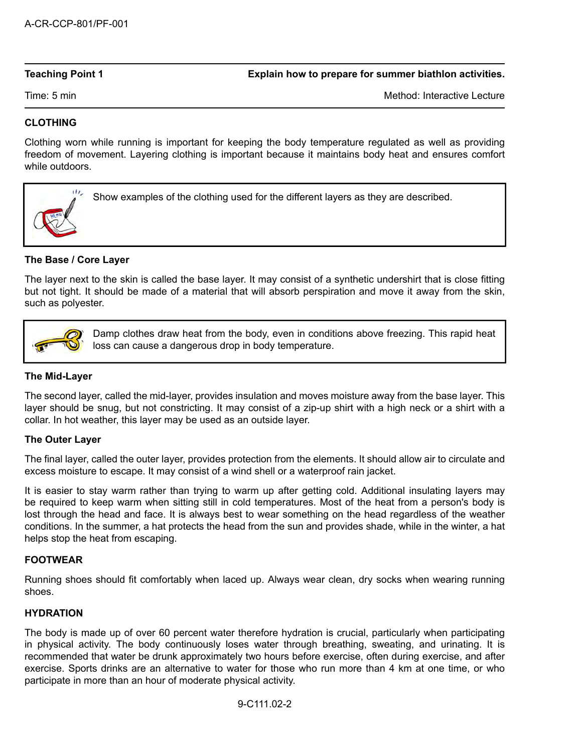**Teaching Point 1 Explain how to prepare for summer biathlon activities.**

Time: 5 min Method: Interactive Lecture Communication of the Method: Interactive Lecture

# **CLOTHING**

Clothing worn while running is important for keeping the body temperature regulated as well as providing freedom of movement. Layering clothing is important because it maintains body heat and ensures comfort while outdoors.



Show examples of the clothing used for the different layers as they are described.

# **The Base / Core Layer**

The layer next to the skin is called the base layer. It may consist of a synthetic undershirt that is close fitting but not tight. It should be made of a material that will absorb perspiration and move it away from the skin, such as polyester.



Damp clothes draw heat from the body, even in conditions above freezing. This rapid heat loss can cause a dangerous drop in body temperature.

#### **The Mid-Layer**

The second layer, called the mid-layer, provides insulation and moves moisture away from the base layer. This layer should be snug, but not constricting. It may consist of a zip-up shirt with a high neck or a shirt with a collar. In hot weather, this layer may be used as an outside layer.

### **The Outer Layer**

The final layer, called the outer layer, provides protection from the elements. It should allow air to circulate and excess moisture to escape. It may consist of a wind shell or a waterproof rain jacket.

It is easier to stay warm rather than trying to warm up after getting cold. Additional insulating layers may be required to keep warm when sitting still in cold temperatures. Most of the heat from a person's body is lost through the head and face. It is always best to wear something on the head regardless of the weather conditions. In the summer, a hat protects the head from the sun and provides shade, while in the winter, a hat helps stop the heat from escaping.

#### **FOOTWEAR**

Running shoes should fit comfortably when laced up. Always wear clean, dry socks when wearing running shoes.

#### **HYDRATION**

The body is made up of over 60 percent water therefore hydration is crucial, particularly when participating in physical activity. The body continuously loses water through breathing, sweating, and urinating. It is recommended that water be drunk approximately two hours before exercise, often during exercise, and after exercise. Sports drinks are an alternative to water for those who run more than 4 km at one time, or who participate in more than an hour of moderate physical activity.

9-C111.02-2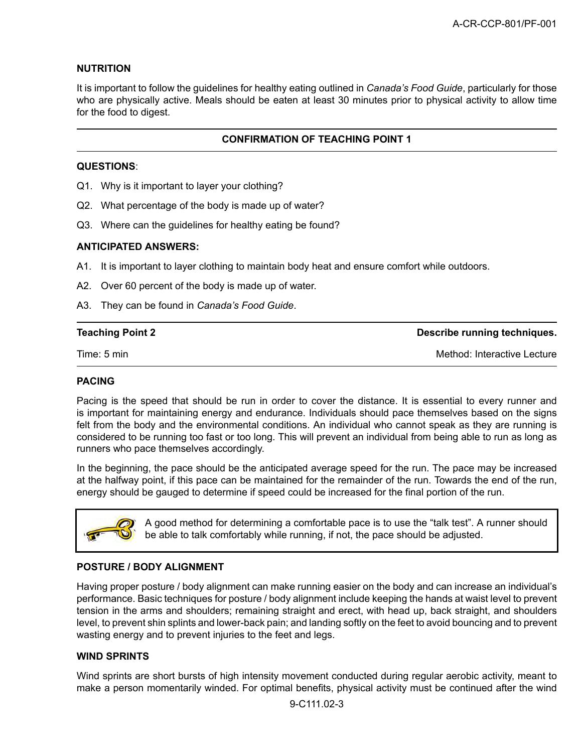# **NUTRITION**

It is important to follow the guidelines for healthy eating outlined in *Canada's Food Guide*, particularly for those who are physically active. Meals should be eaten at least 30 minutes prior to physical activity to allow time for the food to digest.

# **CONFIRMATION OF TEACHING POINT 1**

#### **QUESTIONS**:

- Q1. Why is it important to layer your clothing?
- Q2. What percentage of the body is made up of water?
- Q3. Where can the guidelines for healthy eating be found?

#### **ANTICIPATED ANSWERS:**

- A1. It is important to layer clothing to maintain body heat and ensure comfort while outdoors.
- A2. Over 60 percent of the body is made up of water.
- A3. They can be found in *Canada's Food Guide*.

**Teaching Point 2 Describe running techniques.** 

Time: 5 min Method: Interactive Lecture Control of Time: 5 min Method: Interactive Lecture

#### **PACING**

Pacing is the speed that should be run in order to cover the distance. It is essential to every runner and is important for maintaining energy and endurance. Individuals should pace themselves based on the signs felt from the body and the environmental conditions. An individual who cannot speak as they are running is considered to be running too fast or too long. This will prevent an individual from being able to run as long as runners who pace themselves accordingly.

In the beginning, the pace should be the anticipated average speed for the run. The pace may be increased at the halfway point, if this pace can be maintained for the remainder of the run. Towards the end of the run, energy should be gauged to determine if speed could be increased for the final portion of the run.



A good method for determining a comfortable pace is to use the "talk test". A runner should be able to talk comfortably while running, if not, the pace should be adjusted.

### **POSTURE / BODY ALIGNMENT**

Having proper posture / body alignment can make running easier on the body and can increase an individual's performance. Basic techniques for posture / body alignment include keeping the hands at waist level to prevent tension in the arms and shoulders; remaining straight and erect, with head up, back straight, and shoulders level, to prevent shin splints and lower-back pain; and landing softly on the feet to avoid bouncing and to prevent wasting energy and to prevent injuries to the feet and legs.

#### **WIND SPRINTS**

Wind sprints are short bursts of high intensity movement conducted during regular aerobic activity, meant to make a person momentarily winded. For optimal benefits, physical activity must be continued after the wind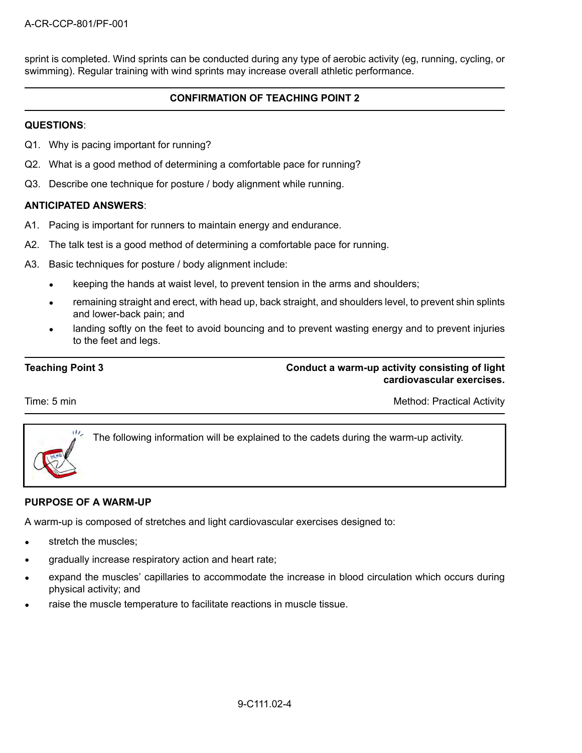sprint is completed. Wind sprints can be conducted during any type of aerobic activity (eg, running, cycling, or swimming). Regular training with wind sprints may increase overall athletic performance.

# **CONFIRMATION OF TEACHING POINT 2**

#### **QUESTIONS**:

- Q1. Why is pacing important for running?
- Q2. What is a good method of determining a comfortable pace for running?
- Q3. Describe one technique for posture / body alignment while running.

#### **ANTICIPATED ANSWERS**:

- A1. Pacing is important for runners to maintain energy and endurance.
- A2. The talk test is a good method of determining a comfortable pace for running.
- A3. Basic techniques for posture / body alignment include:
	- keeping the hands at waist level, to prevent tension in the arms and shoulders;
	- remaining straight and erect, with head up, back straight, and shoulders level, to prevent shin splints and lower-back pain; and
	- landing softly on the feet to avoid bouncing and to prevent wasting energy and to prevent injuries to the feet and legs.

**Teaching Point 3 Conduct a warm-up activity consisting of light cardiovascular exercises.**

Time: 5 min Method: Practical Activity



The following information will be explained to the cadets during the warm-up activity.

### **PURPOSE OF A WARM-UP**

A warm-up is composed of stretches and light cardiovascular exercises designed to:

- stretch the muscles:
- gradually increase respiratory action and heart rate;
- expand the muscles' capillaries to accommodate the increase in blood circulation which occurs during physical activity; and
- raise the muscle temperature to facilitate reactions in muscle tissue.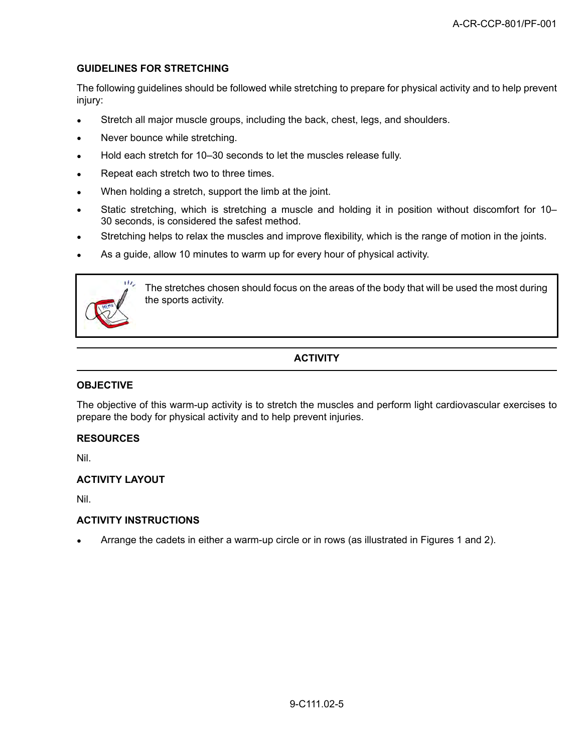# **GUIDELINES FOR STRETCHING**

The following guidelines should be followed while stretching to prepare for physical activity and to help prevent injury:

- Stretch all major muscle groups, including the back, chest, legs, and shoulders.
- Never bounce while stretching.
- Hold each stretch for 10–30 seconds to let the muscles release fully.
- Repeat each stretch two to three times.
- When holding a stretch, support the limb at the joint.
- Static stretching, which is stretching a muscle and holding it in position without discomfort for 10– 30 seconds, is considered the safest method.
- Stretching helps to relax the muscles and improve flexibility, which is the range of motion in the joints.
- As a guide, allow 10 minutes to warm up for every hour of physical activity.



The stretches chosen should focus on the areas of the body that will be used the most during the sports activity.

# **ACTIVITY**

### **OBJECTIVE**

The objective of this warm-up activity is to stretch the muscles and perform light cardiovascular exercises to prepare the body for physical activity and to help prevent injuries.

### **RESOURCES**

Nil.

### **ACTIVITY LAYOUT**

Nil.

### **ACTIVITY INSTRUCTIONS**

• Arrange the cadets in either a warm-up circle or in rows (as illustrated in Figures 1 and 2).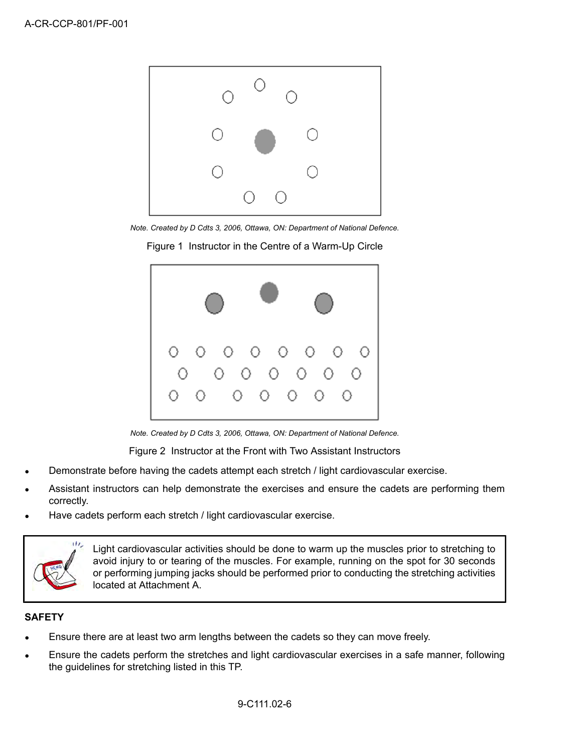







*Note. Created by D Cdts 3, 2006, Ottawa, ON: Department of National Defence.*

Figure 2 Instructor at the Front with Two Assistant Instructors

- Demonstrate before having the cadets attempt each stretch / light cardiovascular exercise.
- Assistant instructors can help demonstrate the exercises and ensure the cadets are performing them correctly.
- Have cadets perform each stretch / light cardiovascular exercise.



Light cardiovascular activities should be done to warm up the muscles prior to stretching to avoid injury to or tearing of the muscles. For example, running on the spot for 30 seconds or performing jumping jacks should be performed prior to conducting the stretching activities located at Attachment A.

# **SAFETY**

- Ensure there are at least two arm lengths between the cadets so they can move freely.
- Ensure the cadets perform the stretches and light cardiovascular exercises in a safe manner, following the guidelines for stretching listed in this TP.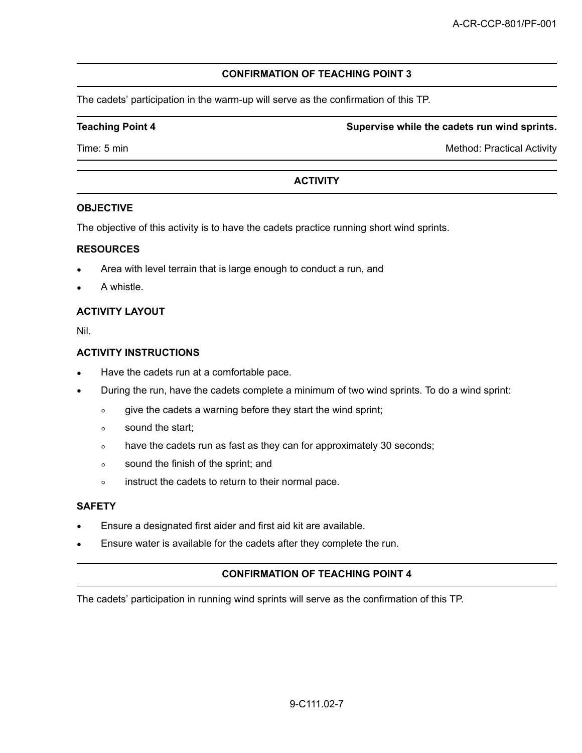# **CONFIRMATION OF TEACHING POINT 3**

The cadets' participation in the warm-up will serve as the confirmation of this TP.

#### **Teaching Point 4 Supervise while the cadets run wind sprints.**

Time: 5 min Method: Practical Activity

# **ACTIVITY**

#### **OBJECTIVE**

The objective of this activity is to have the cadets practice running short wind sprints.

#### **RESOURCES**

- Area with level terrain that is large enough to conduct a run, and
- A whistle.

### **ACTIVITY LAYOUT**

Nil.

#### **ACTIVITY INSTRUCTIONS**

- Have the cadets run at a comfortable pace.
- During the run, have the cadets complete a minimum of two wind sprints. To do a wind sprint:
	- give the cadets a warning before they start the wind sprint;
	- sound the start;
	- have the cadets run as fast as they can for approximately 30 seconds;
	- sound the finish of the sprint; and
	- $\circ$ instruct the cadets to return to their normal pace.

#### **SAFETY**

- Ensure a designated first aider and first aid kit are available.
- Ensure water is available for the cadets after they complete the run.

# **CONFIRMATION OF TEACHING POINT 4**

The cadets' participation in running wind sprints will serve as the confirmation of this TP.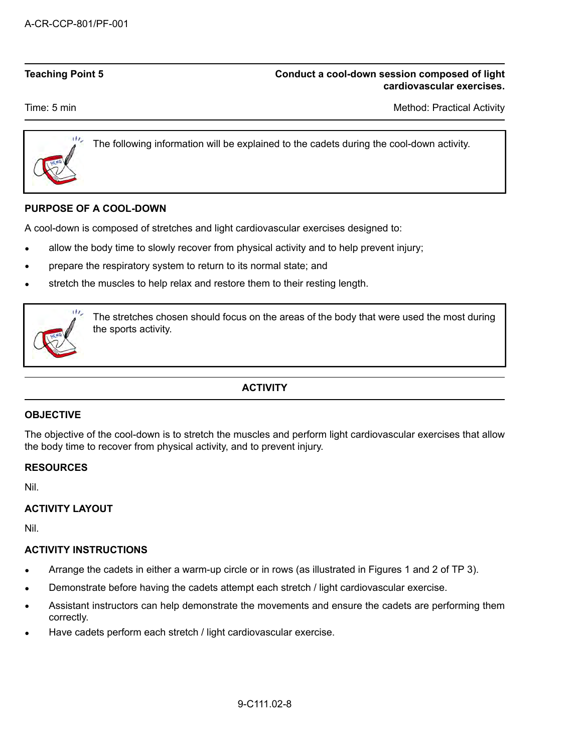## **Teaching Point 5 Conduct a cool-down session composed of light cardiovascular exercises.**

Time: 5 min Method: Practical Activity



The following information will be explained to the cadets during the cool-down activity.

### **PURPOSE OF A COOL-DOWN**

A cool-down is composed of stretches and light cardiovascular exercises designed to:

- allow the body time to slowly recover from physical activity and to help prevent injury;
- prepare the respiratory system to return to its normal state; and
- stretch the muscles to help relax and restore them to their resting length.



The stretches chosen should focus on the areas of the body that were used the most during the sports activity.

### **ACTIVITY**

#### **OBJECTIVE**

The objective of the cool-down is to stretch the muscles and perform light cardiovascular exercises that allow the body time to recover from physical activity, and to prevent injury.

### **RESOURCES**

Nil.

# **ACTIVITY LAYOUT**

Nil.

### **ACTIVITY INSTRUCTIONS**

- Arrange the cadets in either a warm-up circle or in rows (as illustrated in Figures 1 and 2 of TP 3).
- Demonstrate before having the cadets attempt each stretch / light cardiovascular exercise.
- Assistant instructors can help demonstrate the movements and ensure the cadets are performing them correctly.
- Have cadets perform each stretch / light cardiovascular exercise.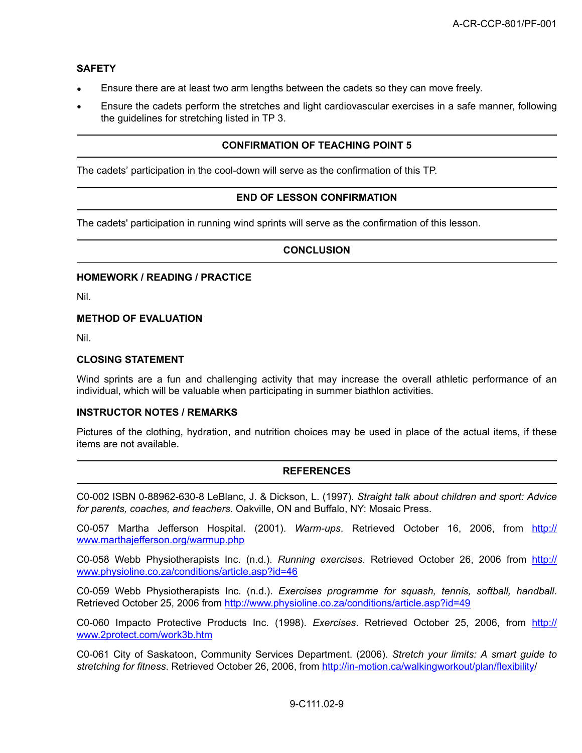# **SAFETY**

- Ensure there are at least two arm lengths between the cadets so they can move freely.
- Ensure the cadets perform the stretches and light cardiovascular exercises in a safe manner, following the guidelines for stretching listed in TP 3.

#### **CONFIRMATION OF TEACHING POINT 5**

The cadets' participation in the cool-down will serve as the confirmation of this TP.

#### **END OF LESSON CONFIRMATION**

The cadets' participation in running wind sprints will serve as the confirmation of this lesson.

### **CONCLUSION**

#### **HOMEWORK / READING / PRACTICE**

Nil.

**METHOD OF EVALUATION**

Nil.

#### **CLOSING STATEMENT**

Wind sprints are a fun and challenging activity that may increase the overall athletic performance of an individual, which will be valuable when participating in summer biathlon activities.

#### **INSTRUCTOR NOTES / REMARKS**

Pictures of the clothing, hydration, and nutrition choices may be used in place of the actual items, if these items are not available.

#### **REFERENCES**

C0-002 ISBN 0-88962-630-8 LeBlanc, J. & Dickson, L. (1997). *Straight talk about children and sport: Advice for parents, coaches, and teachers*. Oakville, ON and Buffalo, NY: Mosaic Press.

C0-057 Martha Jefferson Hospital. (2001). *Warm-ups*. Retrieved October 16, 2006, from http:// www.marthajefferson.org/warmup.php

C0-058 Webb Physiotherapists Inc. (n.d.). *Running exercises*. Retrieved October 26, 2006 from http:// www.physioline.co.za/conditions/article.asp?id=46

C0-059 Webb Physiotherapists Inc. (n.d.). *Exercises programme for squash, tennis, softball, handball*. Retrieved October 25, 2006 from http://www.physioline.co.za/conditions/article.asp?id=49

C0-060 Impacto Protective Products Inc. (1998). *Exercises*. Retrieved October 25, 2006, from http:// www.2protect.com/work3b.htm

C0-061 City of Saskatoon, Community Services Department. (2006). *Stretch your limits: A smart guide to stretching for fitness*. Retrieved October 26, 2006, from http://in-motion.ca/walkingworkout/plan/flexibility/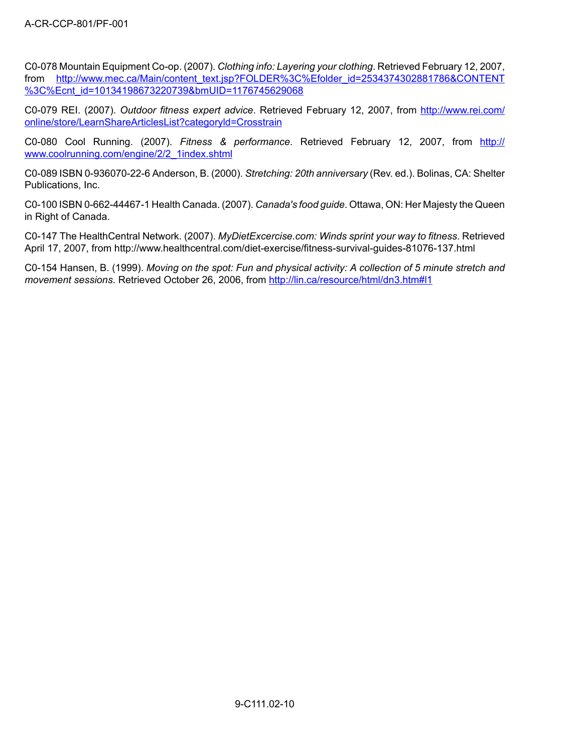C0-078 Mountain Equipment Co-op. (2007). *Clothing info: Layering your clothing*. Retrieved February 12, 2007, from http://www.mec.ca/Main/content\_text.jsp?FOLDER%3C%Efolder\_id=2534374302881786&CONTENT %3C%Ecnt\_id=10134198673220739&bmUID=1176745629068

C0-079 REI. (2007). *Outdoor fitness expert advice*. Retrieved February 12, 2007, from http://www.rei.com/ online/store/LearnShareArticlesList?categoryld=Crosstrain

C0-080 Cool Running. (2007). *Fitness & performance*. Retrieved February 12, 2007, from http:// www.coolrunning.com/engine/2/2\_1index.shtml

C0-089 ISBN 0-936070-22-6 Anderson, B. (2000). *Stretching: 20th anniversary* (Rev. ed.). Bolinas, CA: Shelter Publications, Inc.

C0-100 ISBN 0-662-44467-1 Health Canada. (2007). *Canada's food guide*. Ottawa, ON: Her Majesty the Queen in Right of Canada.

C0-147 The HealthCentral Network. (2007). *MyDietExcercise.com: Winds sprint your way to fitness*. Retrieved April 17, 2007, from http://www.healthcentral.com/diet-exercise/fitness-survival-guides-81076-137.html

C0-154 Hansen, B. (1999). *Moving on the spot: Fun and physical activity: A collection of 5 minute stretch and movement sessions*. Retrieved October 26, 2006, from http://lin.ca/resource/html/dn3.htm#l1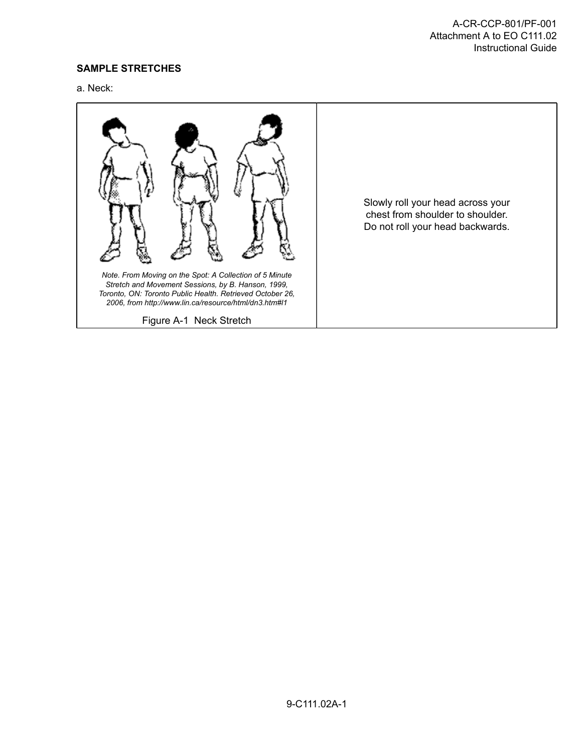### **SAMPLE STRETCHES**

a. Neck:

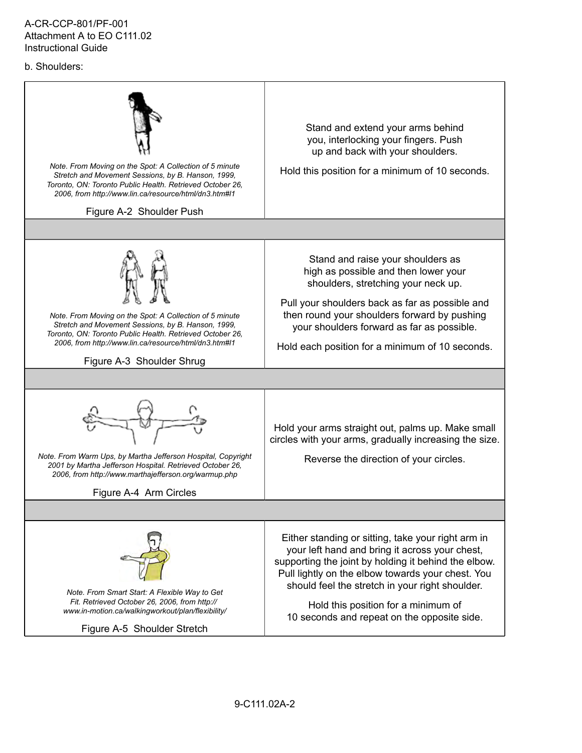# b. Shoulders:

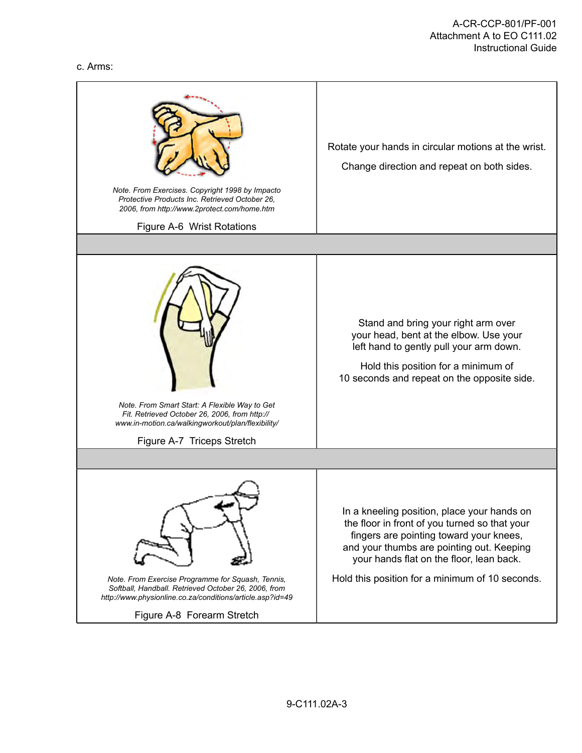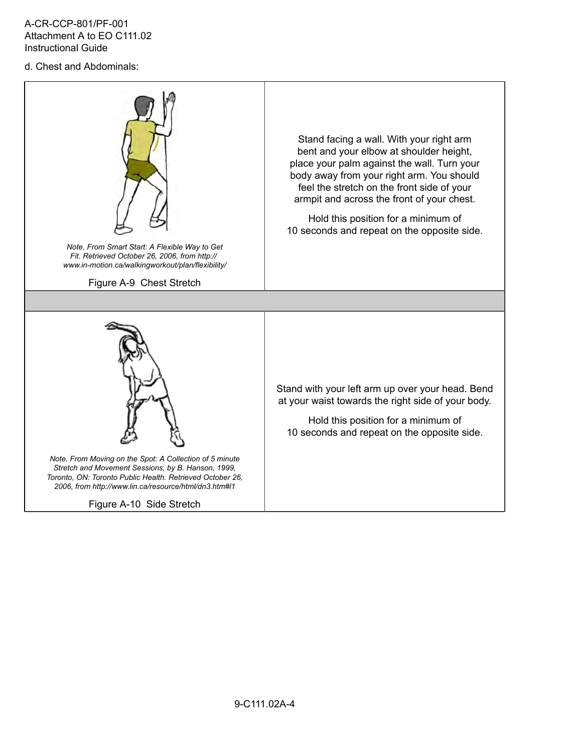d. Chest and Abdominals:

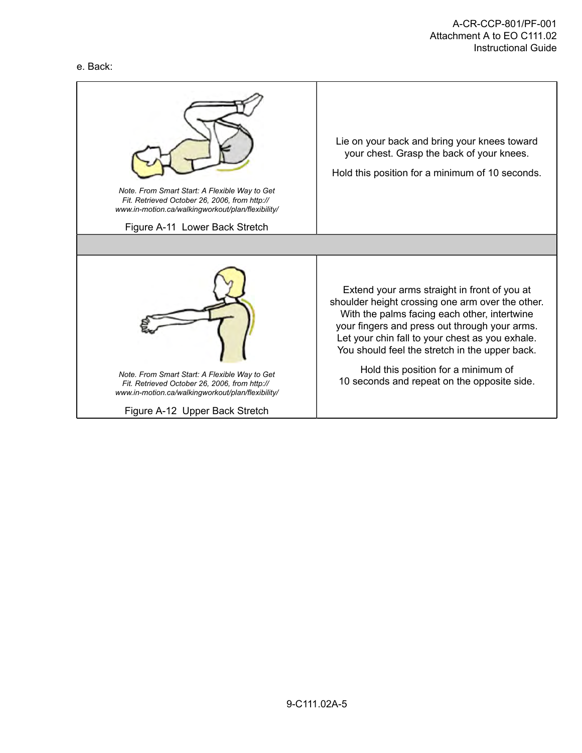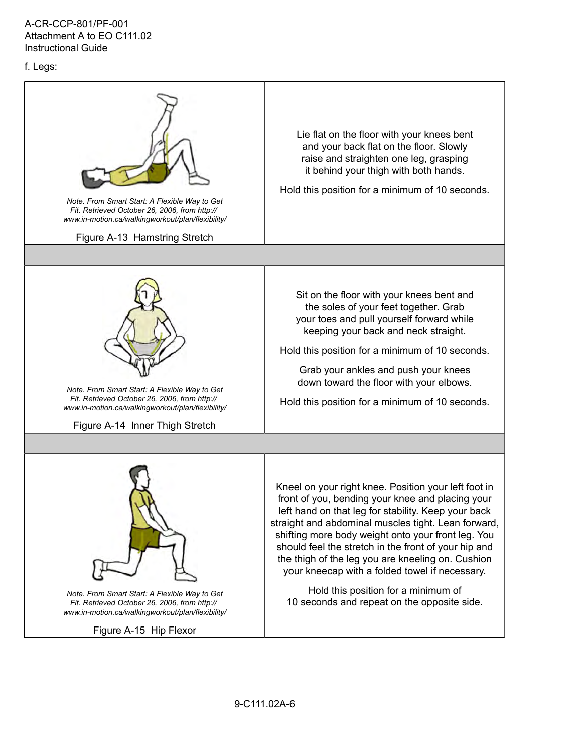f. Legs:

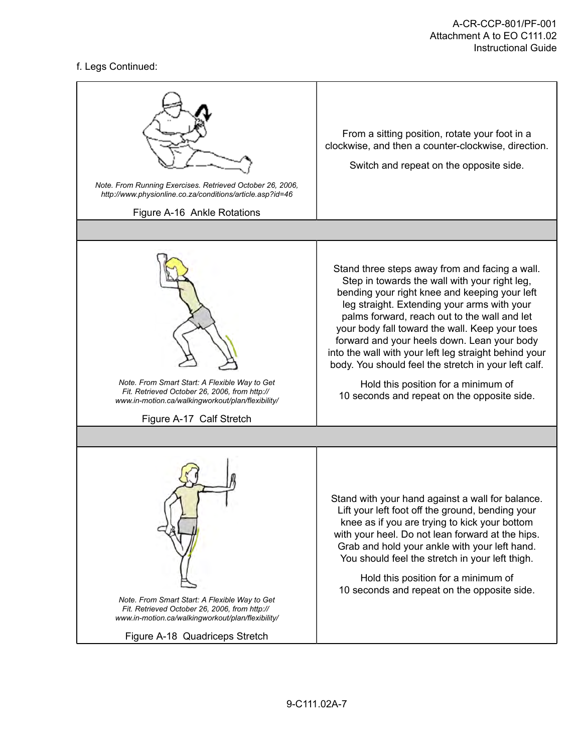# f. Legs Continued:

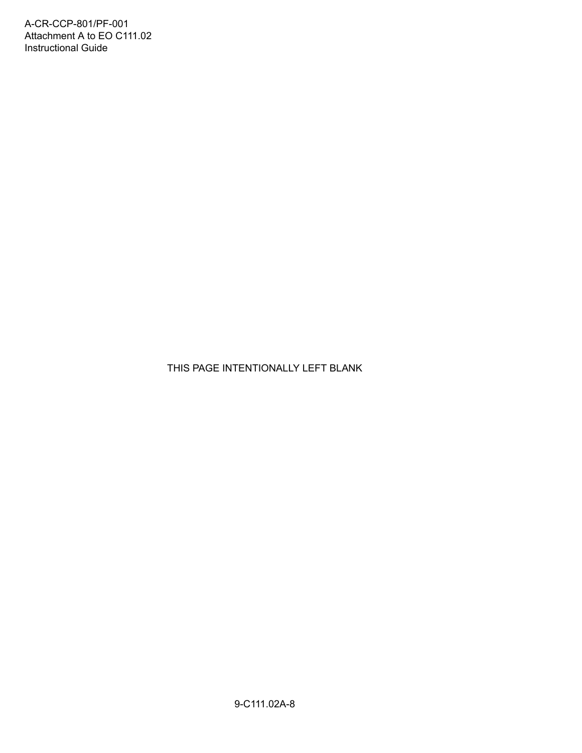THIS PAGE INTENTIONALLY LEFT BLANK

9-C111.02A-8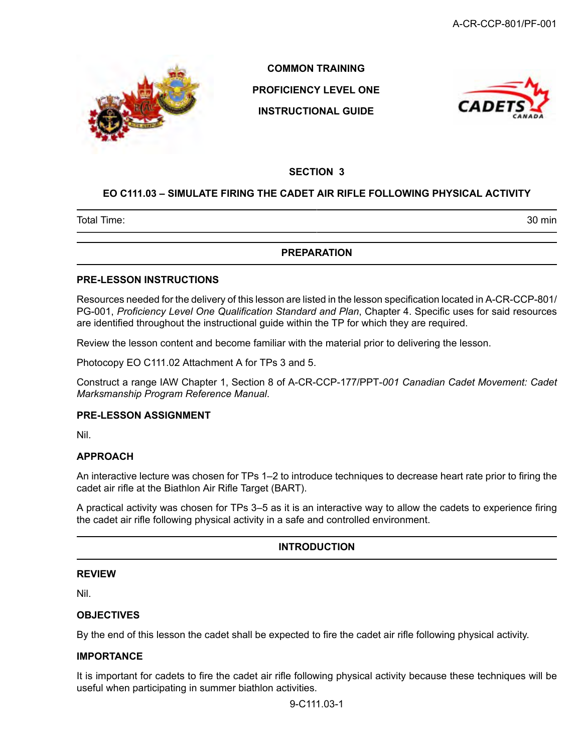

**COMMON TRAINING**

**PROFICIENCY LEVEL ONE INSTRUCTIONAL GUIDE**



#### **SECTION 3**

# **EO C111.03 – SIMULATE FIRING THE CADET AIR RIFLE FOLLOWING PHYSICAL ACTIVITY**

Total Time: 30 min

# **PREPARATION**

#### **PRE-LESSON INSTRUCTIONS**

Resources needed for the delivery of this lesson are listed in the lesson specification located in A-CR-CCP-801/ PG-001, *Proficiency Level One Qualification Standard and Plan*, Chapter 4. Specific uses for said resources are identified throughout the instructional guide within the TP for which they are required.

Review the lesson content and become familiar with the material prior to delivering the lesson.

Photocopy EO C111.02 Attachment A for TPs 3 and 5.

Construct a range IAW Chapter 1, Section 8 of A-CR-CCP-177/PPT-*001 Canadian Cadet Movement: Cadet Marksmanship Program Reference Manual*.

#### **PRE-LESSON ASSIGNMENT**

Nil.

# **APPROACH**

An interactive lecture was chosen for TPs 1–2 to introduce techniques to decrease heart rate prior to firing the cadet air rifle at the Biathlon Air Rifle Target (BART).

A practical activity was chosen for TPs 3–5 as it is an interactive way to allow the cadets to experience firing the cadet air rifle following physical activity in a safe and controlled environment.

### **INTRODUCTION**

#### **REVIEW**

Nil.

#### **OBJECTIVES**

By the end of this lesson the cadet shall be expected to fire the cadet air rifle following physical activity.

#### **IMPORTANCE**

It is important for cadets to fire the cadet air rifle following physical activity because these techniques will be useful when participating in summer biathlon activities.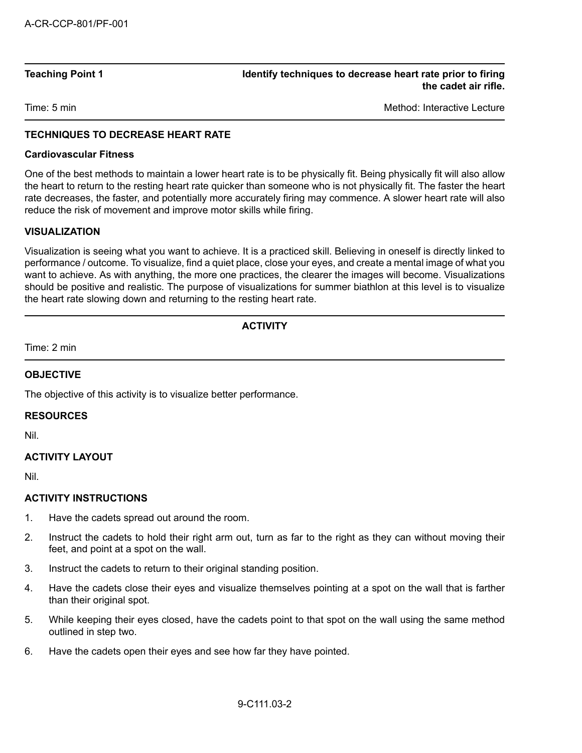Time: 5 min Method: Interactive Lecture

# **TECHNIQUES TO DECREASE HEART RATE**

#### **Cardiovascular Fitness**

One of the best methods to maintain a lower heart rate is to be physically fit. Being physically fit will also allow the heart to return to the resting heart rate quicker than someone who is not physically fit. The faster the heart rate decreases, the faster, and potentially more accurately firing may commence. A slower heart rate will also reduce the risk of movement and improve motor skills while firing.

#### **VISUALIZATION**

Visualization is seeing what you want to achieve. It is a practiced skill. Believing in oneself is directly linked to performance / outcome. To visualize, find a quiet place, close your eyes, and create a mental image of what you want to achieve. As with anything, the more one practices, the clearer the images will become. Visualizations should be positive and realistic. The purpose of visualizations for summer biathlon at this level is to visualize the heart rate slowing down and returning to the resting heart rate.

### **ACTIVITY**

Time: 2 min

### **OBJECTIVE**

The objective of this activity is to visualize better performance.

### **RESOURCES**

Nil.

### **ACTIVITY LAYOUT**

Nil.

### **ACTIVITY INSTRUCTIONS**

- 1. Have the cadets spread out around the room.
- 2. Instruct the cadets to hold their right arm out, turn as far to the right as they can without moving their feet, and point at a spot on the wall.
- 3. Instruct the cadets to return to their original standing position.
- 4. Have the cadets close their eyes and visualize themselves pointing at a spot on the wall that is farther than their original spot.
- 5. While keeping their eyes closed, have the cadets point to that spot on the wall using the same method outlined in step two.
- 6. Have the cadets open their eyes and see how far they have pointed.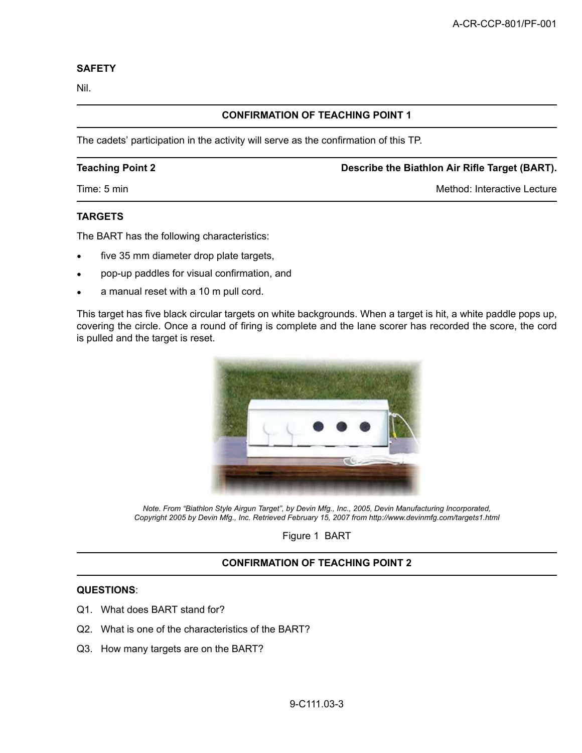# **SAFETY**

Nil.

# **CONFIRMATION OF TEACHING POINT 1**

The cadets' participation in the activity will serve as the confirmation of this TP.

# **Teaching Point 2 Describe the Biathlon Air Rifle Target (BART).**

Time: 5 min Method: Interactive Lecture Controllering and Method: Interactive Lecture

# **TARGETS**

The BART has the following characteristics:

- five 35 mm diameter drop plate targets,
- pop-up paddles for visual confirmation, and
- a manual reset with a 10 m pull cord.

This target has five black circular targets on white backgrounds. When a target is hit, a white paddle pops up, covering the circle. Once a round of firing is complete and the lane scorer has recorded the score, the cord is pulled and the target is reset.



*Note. From "Biathlon Style Airgun Target", by Devin Mfg., Inc., 2005, Devin Manufacturing Incorporated, Copyright 2005 by Devin Mfg., Inc. Retrieved February 15, 2007 from http://www.devinmfg.com/targets1.html*

Figure 1 BART

# **CONFIRMATION OF TEACHING POINT 2**

### **QUESTIONS**:

- Q1. What does BART stand for?
- Q2. What is one of the characteristics of the BART?
- Q3. How many targets are on the BART?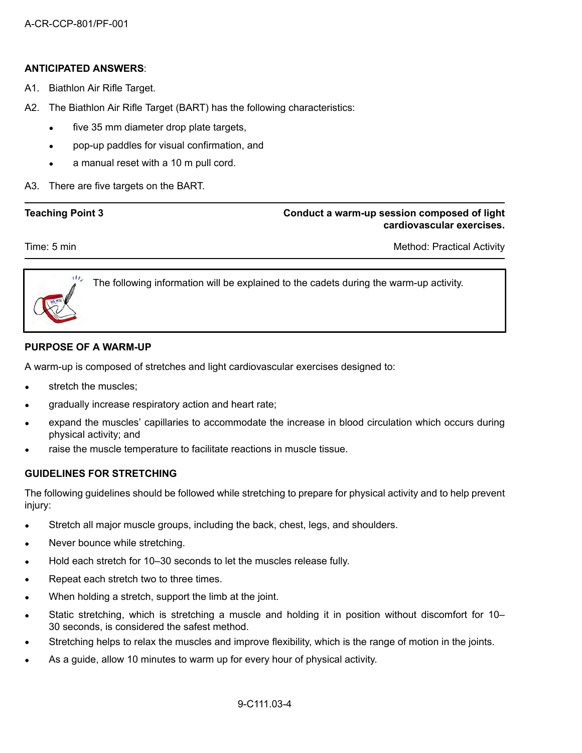### **ANTICIPATED ANSWERS**:

- A1. Biathlon Air Rifle Target.
- A2. The Biathlon Air Rifle Target (BART) has the following characteristics:
	- five 35 mm diameter drop plate targets,
	- pop-up paddles for visual confirmation, and
	- a manual reset with a 10 m pull cord.
- A3. There are five targets on the BART.

#### **Teaching Point 3 Conduct a warm-up session composed of light cardiovascular exercises.**

Time: 5 min Method: Practical Activity



The following information will be explained to the cadets during the warm-up activity.

### **PURPOSE OF A WARM-UP**

A warm-up is composed of stretches and light cardiovascular exercises designed to:

- stretch the muscles:
- gradually increase respiratory action and heart rate;
- expand the muscles' capillaries to accommodate the increase in blood circulation which occurs during physical activity; and
- raise the muscle temperature to facilitate reactions in muscle tissue.

### **GUIDELINES FOR STRETCHING**

The following guidelines should be followed while stretching to prepare for physical activity and to help prevent injury:

- Stretch all major muscle groups, including the back, chest, legs, and shoulders.
- Never bounce while stretching.
- Hold each stretch for 10–30 seconds to let the muscles release fully.
- Repeat each stretch two to three times.
- When holding a stretch, support the limb at the joint.
- Static stretching, which is stretching a muscle and holding it in position without discomfort for 10– 30 seconds, is considered the safest method.
- Stretching helps to relax the muscles and improve flexibility, which is the range of motion in the joints.
- As a guide, allow 10 minutes to warm up for every hour of physical activity.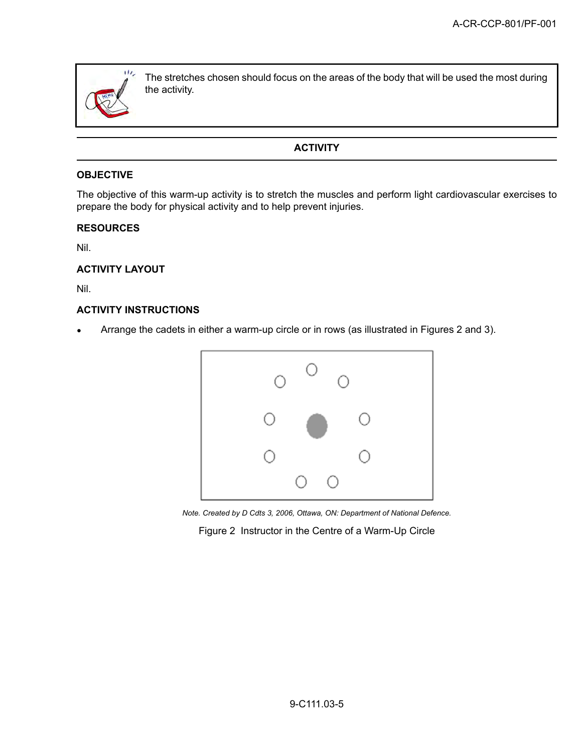

The stretches chosen should focus on the areas of the body that will be used the most during the activity.

# **ACTIVITY**

# **OBJECTIVE**

The objective of this warm-up activity is to stretch the muscles and perform light cardiovascular exercises to prepare the body for physical activity and to help prevent injuries.

# **RESOURCES**

Nil.

# **ACTIVITY LAYOUT**

Nil.

# **ACTIVITY INSTRUCTIONS**

• Arrange the cadets in either a warm-up circle or in rows (as illustrated in Figures 2 and 3).



*Note. Created by D Cdts 3, 2006, Ottawa, ON: Department of National Defence.*

Figure 2 Instructor in the Centre of a Warm-Up Circle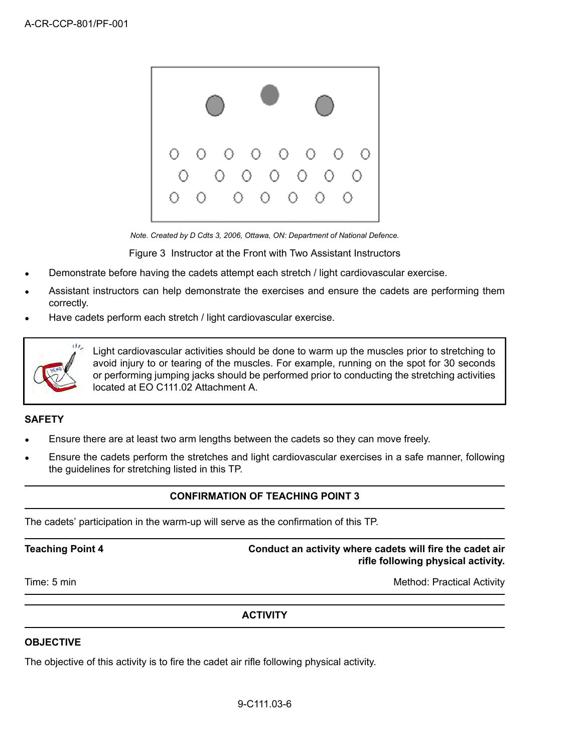

*Note. Created by D Cdts 3, 2006, Ottawa, ON: Department of National Defence.*

Figure 3 Instructor at the Front with Two Assistant Instructors

- Demonstrate before having the cadets attempt each stretch / light cardiovascular exercise.
- Assistant instructors can help demonstrate the exercises and ensure the cadets are performing them correctly.
- Have cadets perform each stretch / light cardiovascular exercise.



Light cardiovascular activities should be done to warm up the muscles prior to stretching to avoid injury to or tearing of the muscles. For example, running on the spot for 30 seconds or performing jumping jacks should be performed prior to conducting the stretching activities located at EO C111.02 Attachment A.

#### **SAFETY**

- Ensure there are at least two arm lengths between the cadets so they can move freely.
- Ensure the cadets perform the stretches and light cardiovascular exercises in a safe manner, following the guidelines for stretching listed in this TP.

#### **CONFIRMATION OF TEACHING POINT 3**

The cadets' participation in the warm-up will serve as the confirmation of this TP.

**Teaching Point 4 Conduct an activity where cadets will fire the cadet air rifle following physical activity.**

Time: 5 min Method: Practical Activity

#### **ACTIVITY**

#### **OBJECTIVE**

The objective of this activity is to fire the cadet air rifle following physical activity.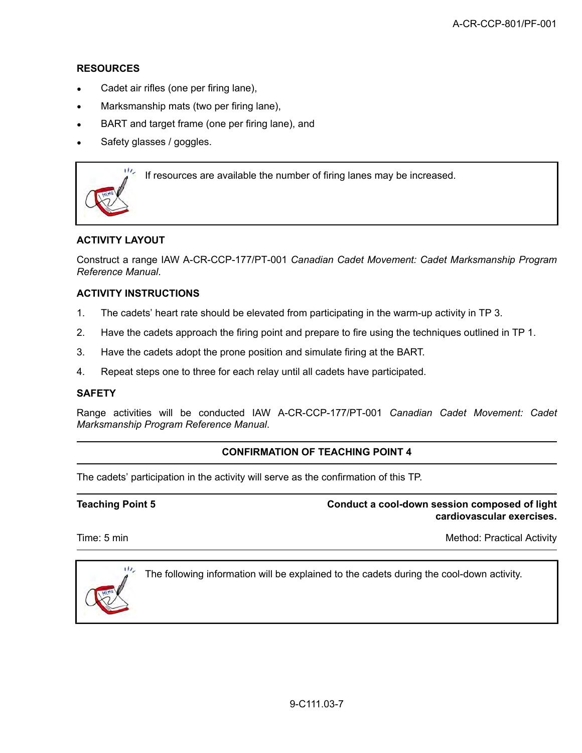# **RESOURCES**

- Cadet air rifles (one per firing lane),
- Marksmanship mats (two per firing lane),
- BART and target frame (one per firing lane), and
- Safety glasses / goggles.



If resources are available the number of firing lanes may be increased.

# **ACTIVITY LAYOUT**

Construct a range IAW A-CR-CCP-177/PT-001 *Canadian Cadet Movement: Cadet Marksmanship Program Reference Manual*.

# **ACTIVITY INSTRUCTIONS**

- 1. The cadets' heart rate should be elevated from participating in the warm-up activity in TP 3.
- 2. Have the cadets approach the firing point and prepare to fire using the techniques outlined in TP 1.
- 3. Have the cadets adopt the prone position and simulate firing at the BART.
- 4. Repeat steps one to three for each relay until all cadets have participated.

# **SAFETY**

Range activities will be conducted IAW A-CR-CCP-177/PT-001 *Canadian Cadet Movement: Cadet Marksmanship Program Reference Manual*.

# **CONFIRMATION OF TEACHING POINT 4**

The cadets' participation in the activity will serve as the confirmation of this TP.

#### **Teaching Point 5 Conduct a cool-down session composed of light cardiovascular exercises.**

Time: 5 min Method: Practical Activity

u, The following information will be explained to the cadets during the cool-down activity.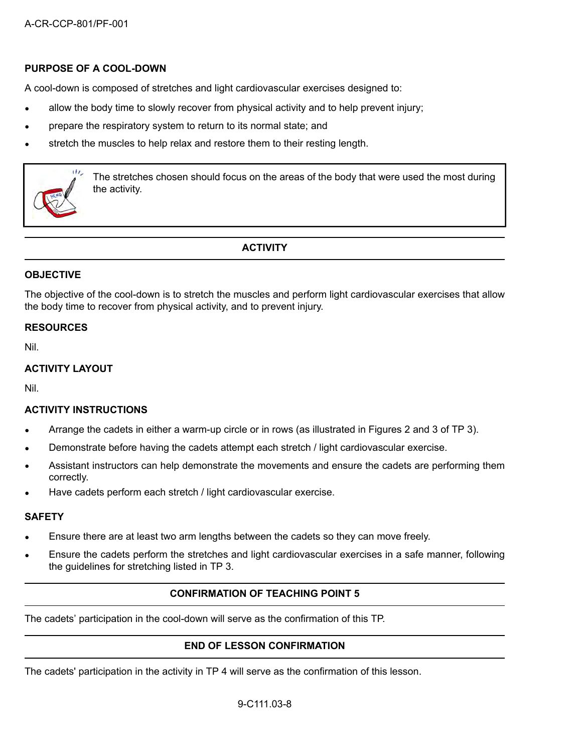# **PURPOSE OF A COOL-DOWN**

A cool-down is composed of stretches and light cardiovascular exercises designed to:

- allow the body time to slowly recover from physical activity and to help prevent injury;
- prepare the respiratory system to return to its normal state; and
- stretch the muscles to help relax and restore them to their resting length.



The stretches chosen should focus on the areas of the body that were used the most during the activity.

# **ACTIVITY**

# **OBJECTIVE**

The objective of the cool-down is to stretch the muscles and perform light cardiovascular exercises that allow the body time to recover from physical activity, and to prevent injury.

### **RESOURCES**

Nil.

# **ACTIVITY LAYOUT**

Nil.

# **ACTIVITY INSTRUCTIONS**

- Arrange the cadets in either a warm-up circle or in rows (as illustrated in Figures 2 and 3 of TP 3).
- Demonstrate before having the cadets attempt each stretch / light cardiovascular exercise.
- Assistant instructors can help demonstrate the movements and ensure the cadets are performing them correctly.
- Have cadets perform each stretch / light cardiovascular exercise.

### **SAFETY**

- Ensure there are at least two arm lengths between the cadets so they can move freely.
- Ensure the cadets perform the stretches and light cardiovascular exercises in a safe manner, following the guidelines for stretching listed in TP 3.

# **CONFIRMATION OF TEACHING POINT 5**

The cadets' participation in the cool-down will serve as the confirmation of this TP.

# **END OF LESSON CONFIRMATION**

The cadets' participation in the activity in TP 4 will serve as the confirmation of this lesson.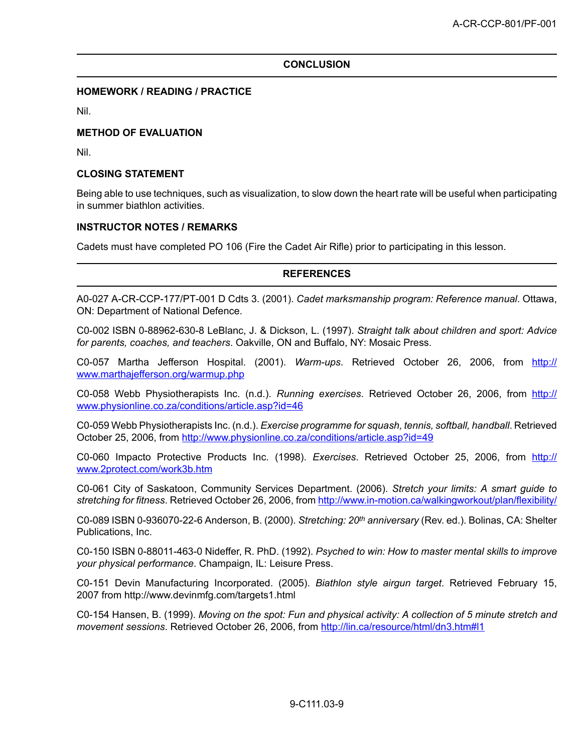### **CONCLUSION**

#### **HOMEWORK / READING / PRACTICE**

Nil.

#### **METHOD OF EVALUATION**

Nil.

#### **CLOSING STATEMENT**

Being able to use techniques, such as visualization, to slow down the heart rate will be useful when participating in summer biathlon activities.

#### **INSTRUCTOR NOTES / REMARKS**

Cadets must have completed PO 106 (Fire the Cadet Air Rifle) prior to participating in this lesson.

#### **REFERENCES**

A0-027 A-CR-CCP-177/PT-001 D Cdts 3. (2001). *Cadet marksmanship program: Reference manual*. Ottawa, ON: Department of National Defence.

C0-002 ISBN 0-88962-630-8 LeBlanc, J. & Dickson, L. (1997). *Straight talk about children and sport: Advice for parents, coaches, and teachers*. Oakville, ON and Buffalo, NY: Mosaic Press.

C0-057 Martha Jefferson Hospital. (2001). *Warm-ups*. Retrieved October 26, 2006, from http:// www.marthajefferson.org/warmup.php

C0-058 Webb Physiotherapists Inc. (n.d.). *Running exercises*. Retrieved October 26, 2006, from http:// www.physionline.co.za/conditions/article.asp?id=46

C0-059 Webb Physiotherapists Inc. (n.d.). *Exercise programme for squash, tennis, softball, handball*. Retrieved October 25, 2006, from http://www.physionline.co.za/conditions/article.asp?id=49

C0-060 Impacto Protective Products Inc. (1998). *Exercises*. Retrieved October 25, 2006, from http:// www.2protect.com/work3b.htm

C0-061 City of Saskatoon, Community Services Department. (2006). *Stretch your limits: A smart guide to stretching for fitness*. Retrieved October 26, 2006, from http://www.in-motion.ca/walkingworkout/plan/flexibility/

C0-089 ISBN 0-936070-22-6 Anderson, B. (2000). *Stretching: 20th anniversary* (Rev. ed.). Bolinas, CA: Shelter Publications, Inc.

C0-150 ISBN 0-88011-463-0 Nideffer, R. PhD. (1992). *Psyched to win: How to master mental skills to improve your physical performance*. Champaign, IL: Leisure Press.

C0-151 Devin Manufacturing Incorporated. (2005). *Biathlon style airgun target*. Retrieved February 15, 2007 from http://www.devinmfg.com/targets1.html

C0-154 Hansen, B. (1999). *Moving on the spot: Fun and physical activity: A collection of 5 minute stretch and movement sessions*. Retrieved October 26, 2006, from http://lin.ca/resource/html/dn3.htm#l1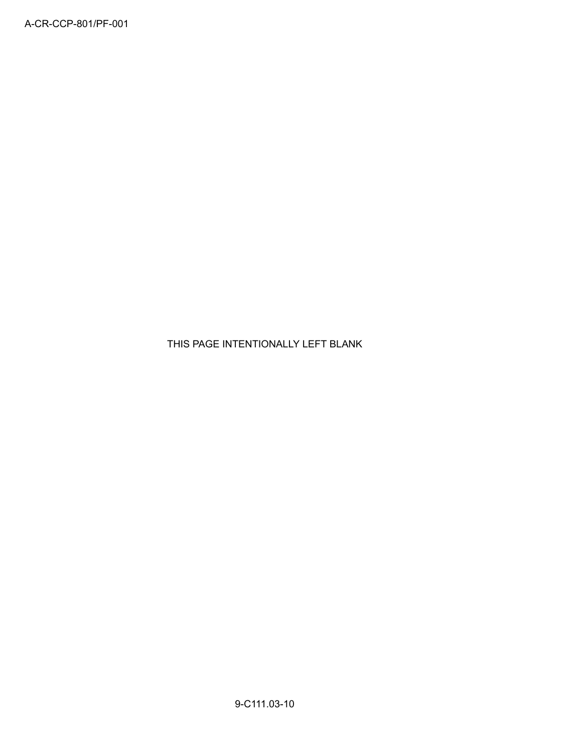THIS PAGE INTENTIONALLY LEFT BLANK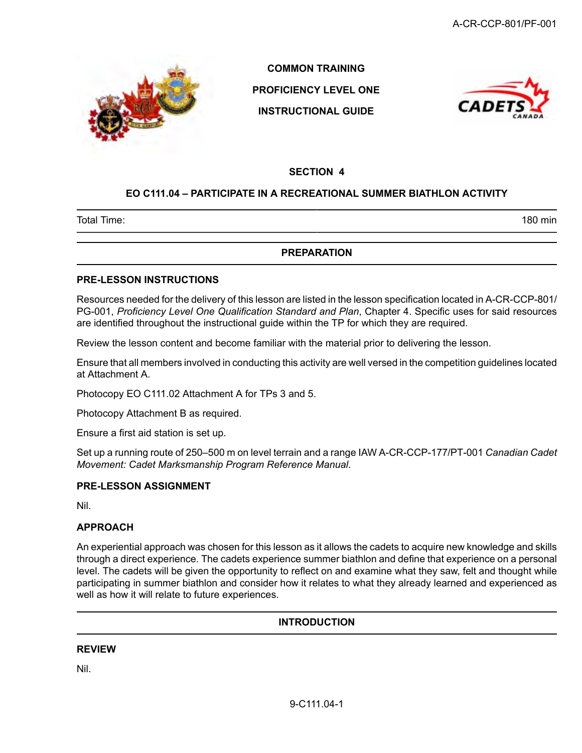

**COMMON TRAINING**

**PROFICIENCY LEVEL ONE**





#### **SECTION 4**

# **EO C111.04 – PARTICIPATE IN A RECREATIONAL SUMMER BIATHLON ACTIVITY**

Total Time: 180 min

### **PREPARATION**

# **PRE-LESSON INSTRUCTIONS**

Resources needed for the delivery of this lesson are listed in the lesson specification located in A-CR-CCP-801/ PG-001, *Proficiency Level One Qualification Standard and Plan*, Chapter 4. Specific uses for said resources are identified throughout the instructional guide within the TP for which they are required.

Review the lesson content and become familiar with the material prior to delivering the lesson.

Ensure that all members involved in conducting this activity are well versed in the competition guidelines located at Attachment A.

Photocopy EO C111.02 Attachment A for TPs 3 and 5.

Photocopy Attachment B as required.

Ensure a first aid station is set up.

Set up a running route of 250–500 m on level terrain and a range IAW A-CR-CCP-177/PT-001 *Canadian Cadet Movement: Cadet Marksmanship Program Reference Manual*.

# **PRE-LESSON ASSIGNMENT**

Nil.

#### **APPROACH**

An experiential approach was chosen for this lesson as it allows the cadets to acquire new knowledge and skills through a direct experience. The cadets experience summer biathlon and define that experience on a personal level. The cadets will be given the opportunity to reflect on and examine what they saw, felt and thought while participating in summer biathlon and consider how it relates to what they already learned and experienced as well as how it will relate to future experiences.

# **INTRODUCTION**

#### **REVIEW**

Nil.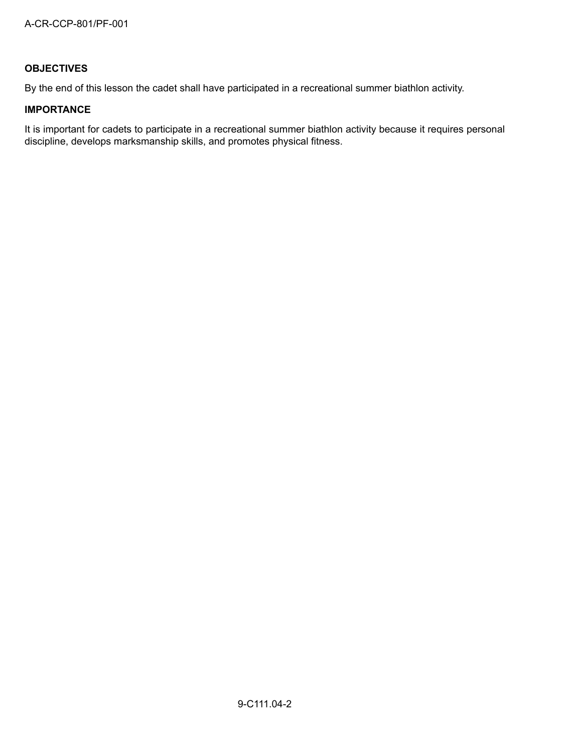# **OBJECTIVES**

By the end of this lesson the cadet shall have participated in a recreational summer biathlon activity.

### **IMPORTANCE**

It is important for cadets to participate in a recreational summer biathlon activity because it requires personal discipline, develops marksmanship skills, and promotes physical fitness.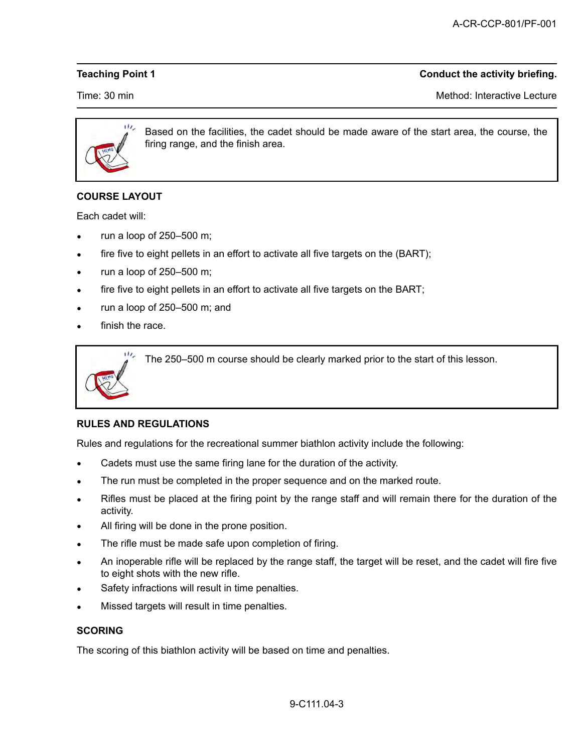# **Teaching Point 1 Conduct the activity briefing.**

Time: 30 min Method: Interactive Lecture Communication of the Method: Interactive Lecture



Based on the facilities, the cadet should be made aware of the start area, the course, the firing range, and the finish area.

# **COURSE LAYOUT**

Each cadet will:

- run a loop of 250–500 m;
- fire five to eight pellets in an effort to activate all five targets on the (BART);
- run a loop of 250–500 m;
- fire five to eight pellets in an effort to activate all five targets on the BART;
- run a loop of 250–500 m; and
- finish the race.



The 250–500 m course should be clearly marked prior to the start of this lesson.

# **RULES AND REGULATIONS**

Rules and regulations for the recreational summer biathlon activity include the following:

- Cadets must use the same firing lane for the duration of the activity.
- The run must be completed in the proper sequence and on the marked route.
- Rifles must be placed at the firing point by the range staff and will remain there for the duration of the activity.
- All firing will be done in the prone position.
- The rifle must be made safe upon completion of firing.
- An inoperable rifle will be replaced by the range staff, the target will be reset, and the cadet will fire five to eight shots with the new rifle.
- Safety infractions will result in time penalties.
- Missed targets will result in time penalties.

# **SCORING**

The scoring of this biathlon activity will be based on time and penalties.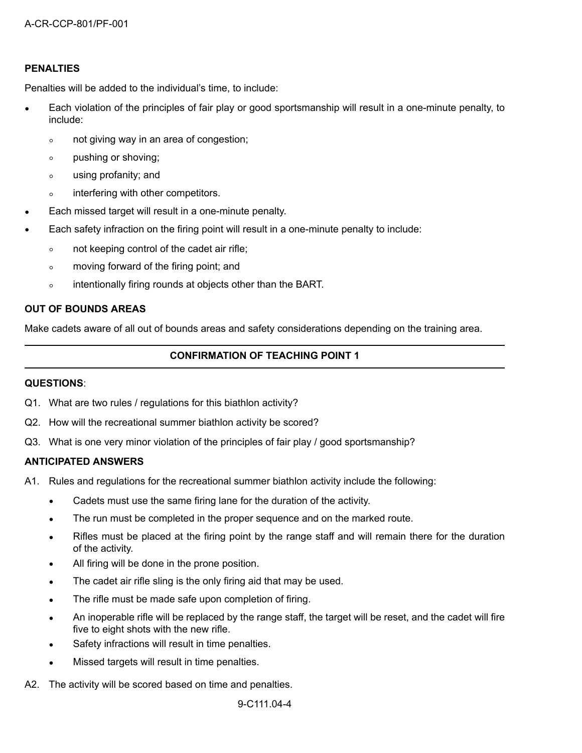# **PENALTIES**

Penalties will be added to the individual's time, to include:

- Each violation of the principles of fair play or good sportsmanship will result in a one-minute penalty, to include:
	- not giving way in an area of congestion;
	- pushing or shoving;
	- using profanity; and
	- interfering with other competitors.
- Each missed target will result in a one-minute penalty.
- Each safety infraction on the firing point will result in a one-minute penalty to include:
	- not keeping control of the cadet air rifle;
	- moving forward of the firing point; and
	- intentionally firing rounds at objects other than the BART.

# **OUT OF BOUNDS AREAS**

Make cadets aware of all out of bounds areas and safety considerations depending on the training area.

# **CONFIRMATION OF TEACHING POINT 1**

### **QUESTIONS**:

- Q1. What are two rules / regulations for this biathlon activity?
- Q2. How will the recreational summer biathlon activity be scored?
- Q3. What is one very minor violation of the principles of fair play / good sportsmanship?

### **ANTICIPATED ANSWERS**

- A1. Rules and regulations for the recreational summer biathlon activity include the following:
	- Cadets must use the same firing lane for the duration of the activity.
	- The run must be completed in the proper sequence and on the marked route.
	- Rifles must be placed at the firing point by the range staff and will remain there for the duration of the activity.
	- All firing will be done in the prone position.
	- The cadet air rifle sling is the only firing aid that may be used.
	- The rifle must be made safe upon completion of firing.
	- An inoperable rifle will be replaced by the range staff, the target will be reset, and the cadet will fire five to eight shots with the new rifle.
	- Safety infractions will result in time penalties.
	- Missed targets will result in time penalties.
- A2. The activity will be scored based on time and penalties.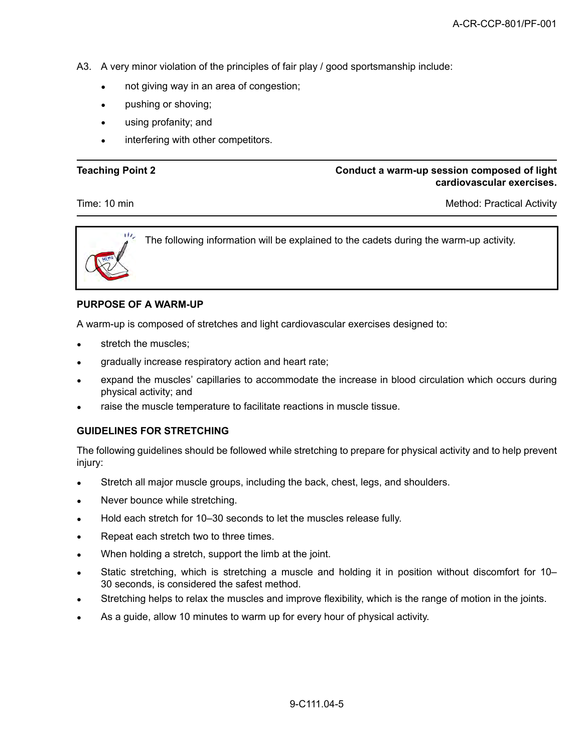A3. A very minor violation of the principles of fair play / good sportsmanship include:

- not giving way in an area of congestion;
- pushing or shoving;
- using profanity; and
- interfering with other competitors.

### **Teaching Point 2 Conduct a warm-up session composed of light cardiovascular exercises.**

Time: 10 min Method: Practical Activity



The following information will be explained to the cadets during the warm-up activity.

#### **PURPOSE OF A WARM-UP**

A warm-up is composed of stretches and light cardiovascular exercises designed to:

- stretch the muscles:
- gradually increase respiratory action and heart rate;
- expand the muscles' capillaries to accommodate the increase in blood circulation which occurs during physical activity; and
- raise the muscle temperature to facilitate reactions in muscle tissue.

# **GUIDELINES FOR STRETCHING**

The following guidelines should be followed while stretching to prepare for physical activity and to help prevent injury:

- Stretch all major muscle groups, including the back, chest, legs, and shoulders.
- Never bounce while stretching.
- Hold each stretch for 10–30 seconds to let the muscles release fully.
- Repeat each stretch two to three times.
- When holding a stretch, support the limb at the joint.
- Static stretching, which is stretching a muscle and holding it in position without discomfort for 10– 30 seconds, is considered the safest method.
- Stretching helps to relax the muscles and improve flexibility, which is the range of motion in the joints.
- As a guide, allow 10 minutes to warm up for every hour of physical activity.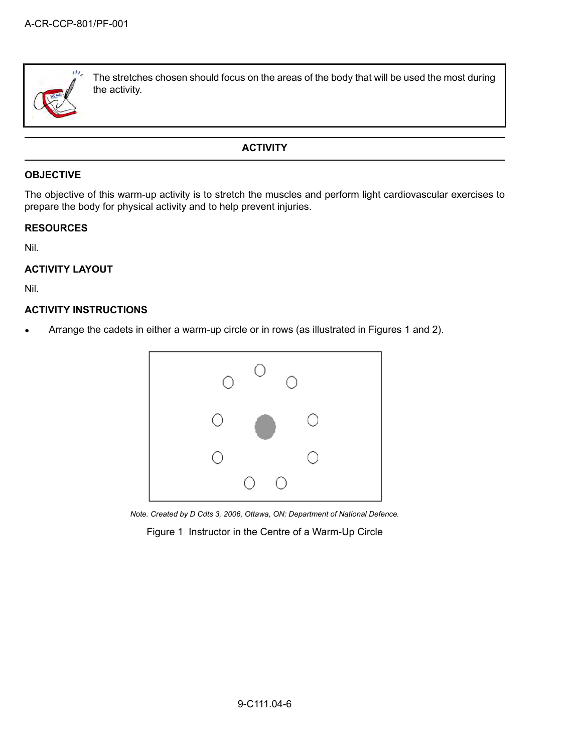

The stretches chosen should focus on the areas of the body that will be used the most during the activity.

#### **ACTIVITY**

# **OBJECTIVE**

The objective of this warm-up activity is to stretch the muscles and perform light cardiovascular exercises to prepare the body for physical activity and to help prevent injuries.

### **RESOURCES**

Nil.

# **ACTIVITY LAYOUT**

Nil.

# **ACTIVITY INSTRUCTIONS**

• Arrange the cadets in either a warm-up circle or in rows (as illustrated in Figures 1 and 2).



*Note. Created by D Cdts 3, 2006, Ottawa, ON: Department of National Defence.*

Figure 1 Instructor in the Centre of a Warm-Up Circle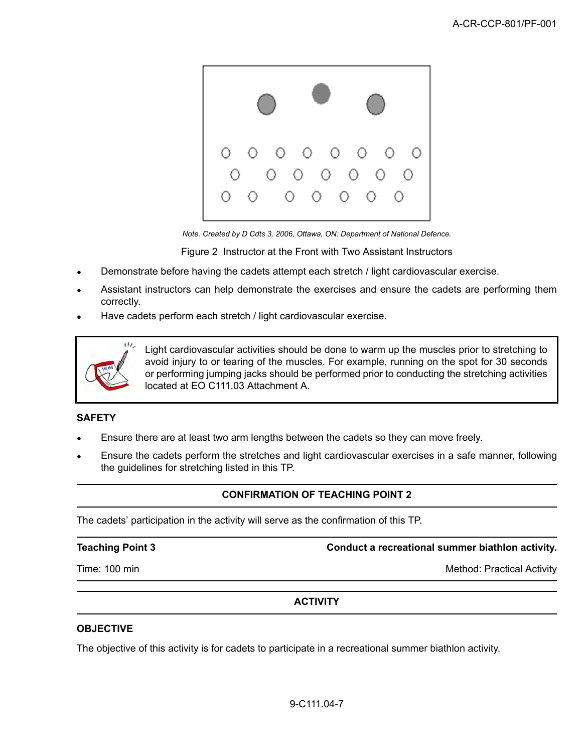

*Note. Created by D Cdts 3, 2006, Ottawa, ON: Department of National Defence.*

Figure 2 Instructor at the Front with Two Assistant Instructors

- Demonstrate before having the cadets attempt each stretch / light cardiovascular exercise.
- Assistant instructors can help demonstrate the exercises and ensure the cadets are performing them correctly.
- Have cadets perform each stretch / light cardiovascular exercise.



Light cardiovascular activities should be done to warm up the muscles prior to stretching to avoid injury to or tearing of the muscles. For example, running on the spot for 30 seconds or performing jumping jacks should be performed prior to conducting the stretching activities located at EO C111.03 Attachment A.

### **SAFETY**

- Ensure there are at least two arm lengths between the cadets so they can move freely.
- Ensure the cadets perform the stretches and light cardiovascular exercises in a safe manner, following the guidelines for stretching listed in this TP.

### **CONFIRMATION OF TEACHING POINT 2**

The cadets' participation in the activity will serve as the confirmation of this TP.

**Teaching Point 3 Conduct a recreational summer biathlon activity.**

Time: 100 min Method: Practical Activity

#### **ACTIVITY**

#### **OBJECTIVE**

The objective of this activity is for cadets to participate in a recreational summer biathlon activity.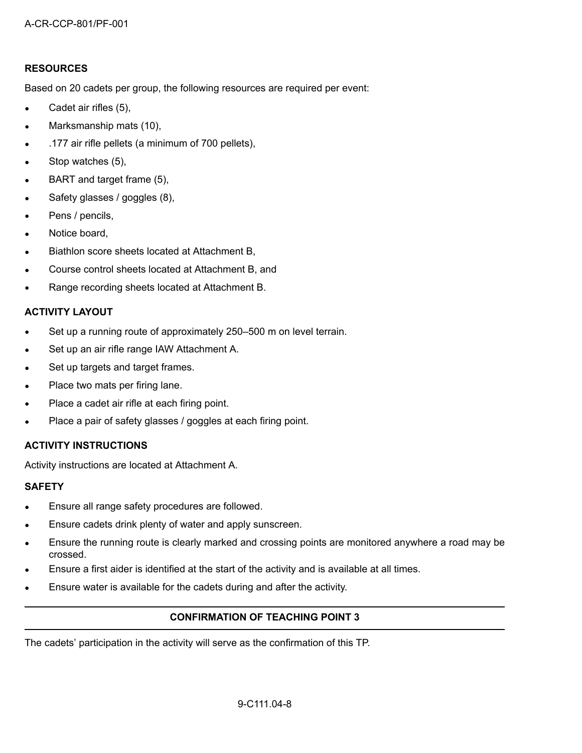# **RESOURCES**

Based on 20 cadets per group, the following resources are required per event:

- Cadet air rifles (5),
- Marksmanship mats (10),
- .177 air rifle pellets (a minimum of 700 pellets),
- Stop watches (5),
- BART and target frame (5),
- Safety glasses / goggles (8),
- Pens / pencils,
- Notice board,
- Biathlon score sheets located at Attachment B,
- Course control sheets located at Attachment B, and
- Range recording sheets located at Attachment B.

# **ACTIVITY LAYOUT**

- Set up a running route of approximately 250–500 m on level terrain.
- Set up an air rifle range IAW Attachment A.
- Set up targets and target frames.
- Place two mats per firing lane.
- Place a cadet air rifle at each firing point.
- Place a pair of safety glasses / goggles at each firing point.

### **ACTIVITY INSTRUCTIONS**

Activity instructions are located at Attachment A.

### **SAFETY**

- Ensure all range safety procedures are followed.
- Ensure cadets drink plenty of water and apply sunscreen.
- Ensure the running route is clearly marked and crossing points are monitored anywhere a road may be crossed.
- Ensure a first aider is identified at the start of the activity and is available at all times.
- Ensure water is available for the cadets during and after the activity.

# **CONFIRMATION OF TEACHING POINT 3**

The cadets' participation in the activity will serve as the confirmation of this TP.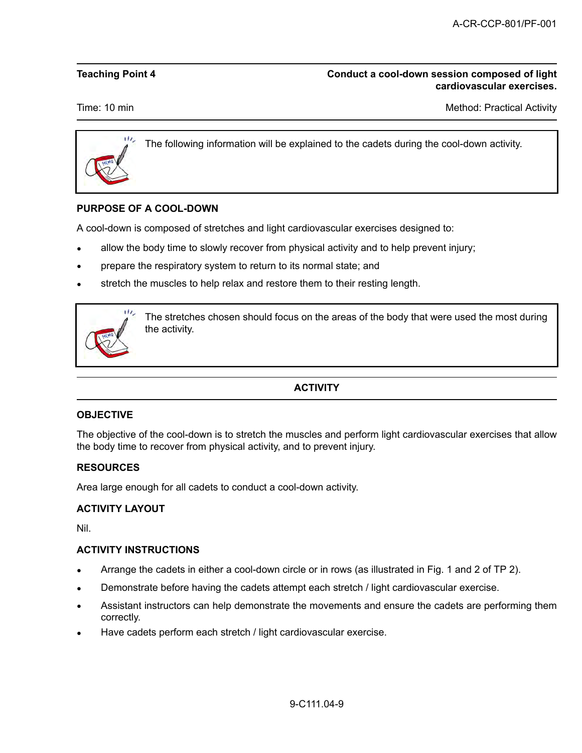#### **Teaching Point 4 Conduct a cool-down session composed of light cardiovascular exercises.**

Time: 10 min Method: Practical Activity



### **PURPOSE OF A COOL-DOWN**

A cool-down is composed of stretches and light cardiovascular exercises designed to:

- allow the body time to slowly recover from physical activity and to help prevent injury;
- prepare the respiratory system to return to its normal state; and
- stretch the muscles to help relax and restore them to their resting length.



The stretches chosen should focus on the areas of the body that were used the most during the activity.

# **ACTIVITY**

#### **OBJECTIVE**

The objective of the cool-down is to stretch the muscles and perform light cardiovascular exercises that allow the body time to recover from physical activity, and to prevent injury.

#### **RESOURCES**

Area large enough for all cadets to conduct a cool-down activity.

# **ACTIVITY LAYOUT**

Nil.

#### **ACTIVITY INSTRUCTIONS**

- Arrange the cadets in either a cool-down circle or in rows (as illustrated in Fig. 1 and 2 of TP 2).
- Demonstrate before having the cadets attempt each stretch / light cardiovascular exercise.
- Assistant instructors can help demonstrate the movements and ensure the cadets are performing them correctly.
- Have cadets perform each stretch / light cardiovascular exercise.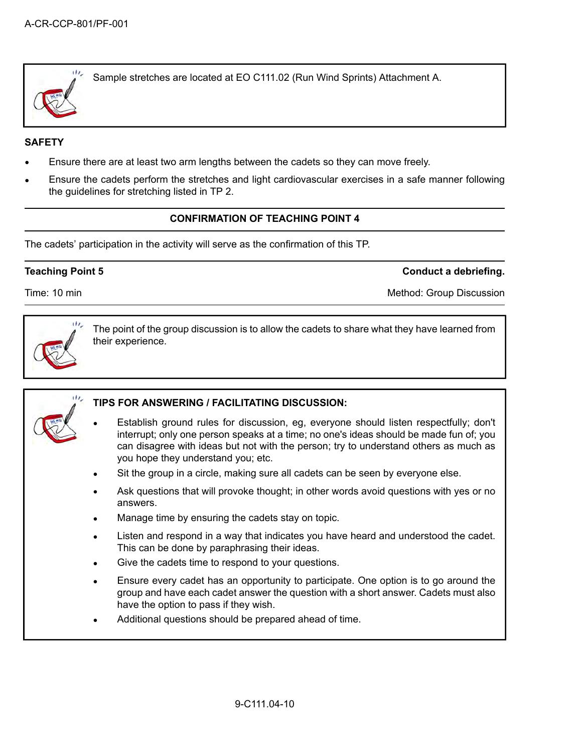

Sample stretches are located at EO C111.02 (Run Wind Sprints) Attachment A.

# **SAFETY**

- Ensure there are at least two arm lengths between the cadets so they can move freely.
- Ensure the cadets perform the stretches and light cardiovascular exercises in a safe manner following the guidelines for stretching listed in TP 2.

# **CONFIRMATION OF TEACHING POINT 4**

The cadets' participation in the activity will serve as the confirmation of this TP.

 $117.$ 

**Teaching Point 5 Conduct a debriefing.**

Time: 10 min Method: Group Discussion Method: Group Discussion

The point of the group discussion is to allow the cadets to share what they have learned from their experience.



# **TIPS FOR ANSWERING / FACILITATING DISCUSSION:**

- Establish ground rules for discussion, eg, everyone should listen respectfully; don't interrupt; only one person speaks at a time; no one's ideas should be made fun of; you can disagree with ideas but not with the person; try to understand others as much as you hope they understand you; etc.
- Sit the group in a circle, making sure all cadets can be seen by everyone else.
- Ask questions that will provoke thought; in other words avoid questions with yes or no answers.
- Manage time by ensuring the cadets stay on topic.
- Listen and respond in a way that indicates you have heard and understood the cadet. This can be done by paraphrasing their ideas.
- Give the cadets time to respond to your questions.
- Ensure every cadet has an opportunity to participate. One option is to go around the group and have each cadet answer the question with a short answer. Cadets must also have the option to pass if they wish.
- Additional questions should be prepared ahead of time.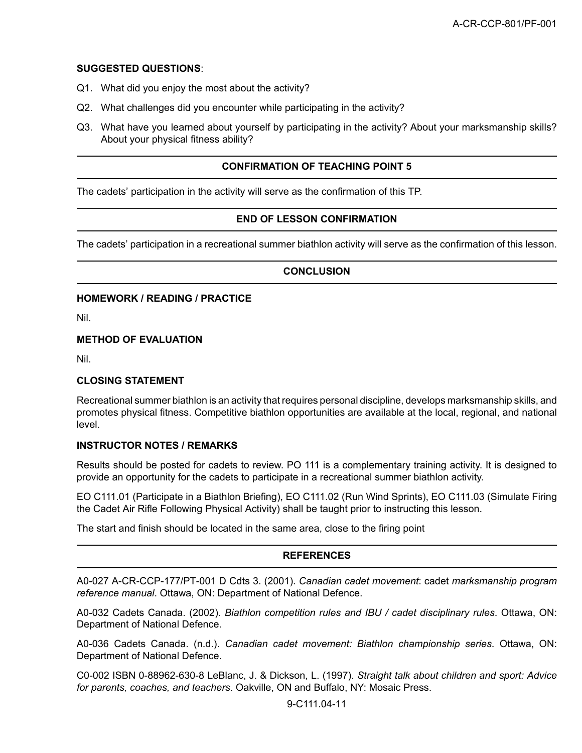### **SUGGESTED QUESTIONS**:

- Q1. What did you enjoy the most about the activity?
- Q2. What challenges did you encounter while participating in the activity?
- Q3. What have you learned about yourself by participating in the activity? About your marksmanship skills? About your physical fitness ability?

#### **CONFIRMATION OF TEACHING POINT 5**

The cadets' participation in the activity will serve as the confirmation of this TP.

# **END OF LESSON CONFIRMATION**

The cadets' participation in a recreational summer biathlon activity will serve as the confirmation of this lesson.

## **CONCLUSION**

#### **HOMEWORK / READING / PRACTICE**

Nil.

#### **METHOD OF EVALUATION**

Nil.

#### **CLOSING STATEMENT**

Recreational summer biathlon is an activity that requires personal discipline, develops marksmanship skills, and promotes physical fitness. Competitive biathlon opportunities are available at the local, regional, and national level.

#### **INSTRUCTOR NOTES / REMARKS**

Results should be posted for cadets to review. PO 111 is a complementary training activity. It is designed to provide an opportunity for the cadets to participate in a recreational summer biathlon activity.

EO C111.01 (Participate in a Biathlon Briefing), EO C111.02 (Run Wind Sprints), EO C111.03 (Simulate Firing the Cadet Air Rifle Following Physical Activity) shall be taught prior to instructing this lesson.

The start and finish should be located in the same area, close to the firing point

### **REFERENCES**

A0-027 A-CR-CCP-177/PT-001 D Cdts 3. (2001). *Canadian cadet movement*: cadet *marksmanship program reference manual*. Ottawa, ON: Department of National Defence.

A0-032 Cadets Canada. (2002). *Biathlon competition rules and IBU / cadet disciplinary rules*. Ottawa, ON: Department of National Defence.

A0-036 Cadets Canada. (n.d.). *Canadian cadet movement: Biathlon championship series*. Ottawa, ON: Department of National Defence.

C0-002 ISBN 0-88962-630-8 LeBlanc, J. & Dickson, L. (1997). *Straight talk about children and sport: Advice for parents, coaches, and teachers*. Oakville, ON and Buffalo, NY: Mosaic Press.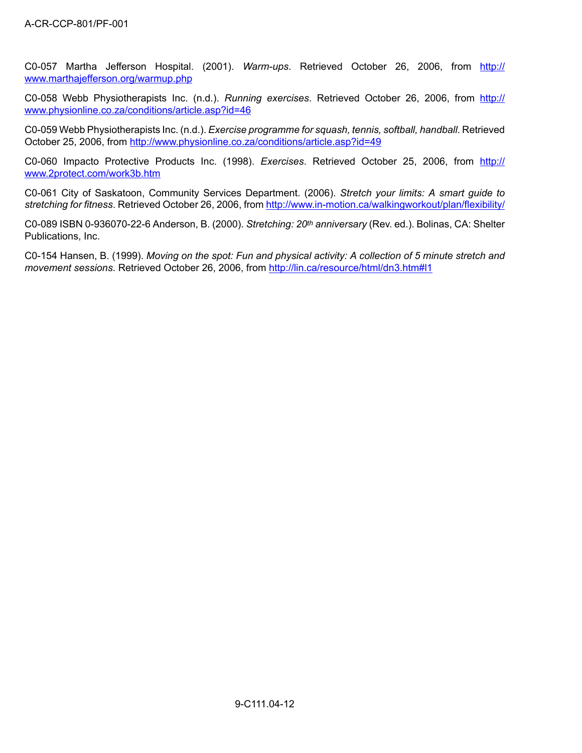C0-057 Martha Jefferson Hospital. (2001). *Warm-ups*. Retrieved October 26, 2006, from http:// www.marthajefferson.org/warmup.php

C0-058 Webb Physiotherapists Inc. (n.d.). *Running exercises*. Retrieved October 26, 2006, from http:// www.physionline.co.za/conditions/article.asp?id=46

C0-059 Webb Physiotherapists Inc. (n.d.). *Exercise programme for squash, tennis, softball, handball*. Retrieved October 25, 2006, from http://www.physionline.co.za/conditions/article.asp?id=49

C0-060 Impacto Protective Products Inc. (1998). *Exercises*. Retrieved October 25, 2006, from http:// www.2protect.com/work3b.htm

C0-061 City of Saskatoon, Community Services Department. (2006). *Stretch your limits: A smart guide to stretching for fitness*. Retrieved October 26, 2006, from http://www.in-motion.ca/walkingworkout/plan/flexibility/

C0-089 ISBN 0-936070-22-6 Anderson, B. (2000). *Stretching: 20th anniversary* (Rev. ed.). Bolinas, CA: Shelter Publications, Inc.

C0-154 Hansen, B. (1999). *Moving on the spot: Fun and physical activity: A collection of 5 minute stretch and movement sessions*. Retrieved October 26, 2006, from http://lin.ca/resource/html/dn3.htm#l1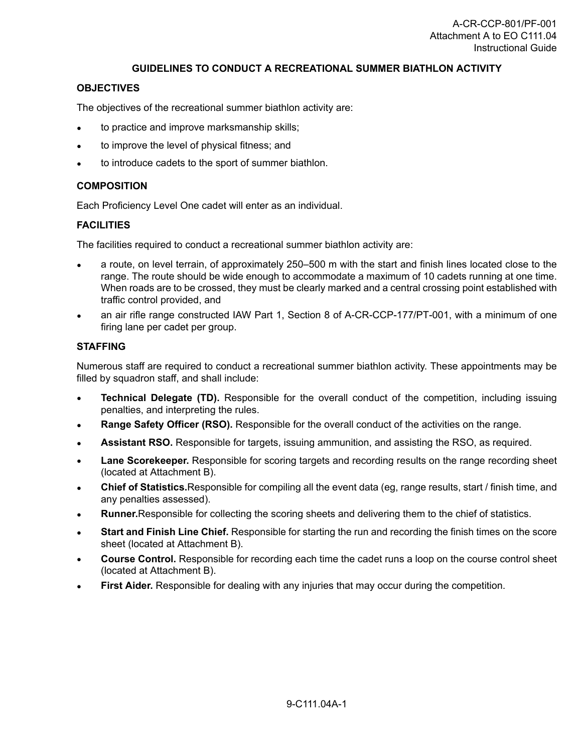# **GUIDELINES TO CONDUCT A RECREATIONAL SUMMER BIATHLON ACTIVITY**

#### **OBJECTIVES**

The objectives of the recreational summer biathlon activity are:

- to practice and improve marksmanship skills;
- to improve the level of physical fitness; and
- to introduce cadets to the sport of summer biathlon.

### **COMPOSITION**

Each Proficiency Level One cadet will enter as an individual.

#### **FACILITIES**

The facilities required to conduct a recreational summer biathlon activity are:

- a route, on level terrain, of approximately 250–500 m with the start and finish lines located close to the range. The route should be wide enough to accommodate a maximum of 10 cadets running at one time. When roads are to be crossed, they must be clearly marked and a central crossing point established with traffic control provided, and
- an air rifle range constructed IAW Part 1, Section 8 of A-CR-CCP-177/PT-001, with a minimum of one firing lane per cadet per group.

#### **STAFFING**

Numerous staff are required to conduct a recreational summer biathlon activity. These appointments may be filled by squadron staff, and shall include:

- **Technical Delegate (TD).** Responsible for the overall conduct of the competition, including issuing penalties, and interpreting the rules.
- **Range Safety Officer (RSO).** Responsible for the overall conduct of the activities on the range.
- **Assistant RSO.** Responsible for targets, issuing ammunition, and assisting the RSO, as required.
- **Lane Scorekeeper.** Responsible for scoring targets and recording results on the range recording sheet (located at Attachment B).
- **Chief of Statistics.**Responsible for compiling all the event data (eg, range results, start / finish time, and any penalties assessed).
- **Runner.**Responsible for collecting the scoring sheets and delivering them to the chief of statistics.
- **Start and Finish Line Chief.** Responsible for starting the run and recording the finish times on the score sheet (located at Attachment B).
- **Course Control.** Responsible for recording each time the cadet runs a loop on the course control sheet (located at Attachment B).
- First Aider. Responsible for dealing with any injuries that may occur during the competition.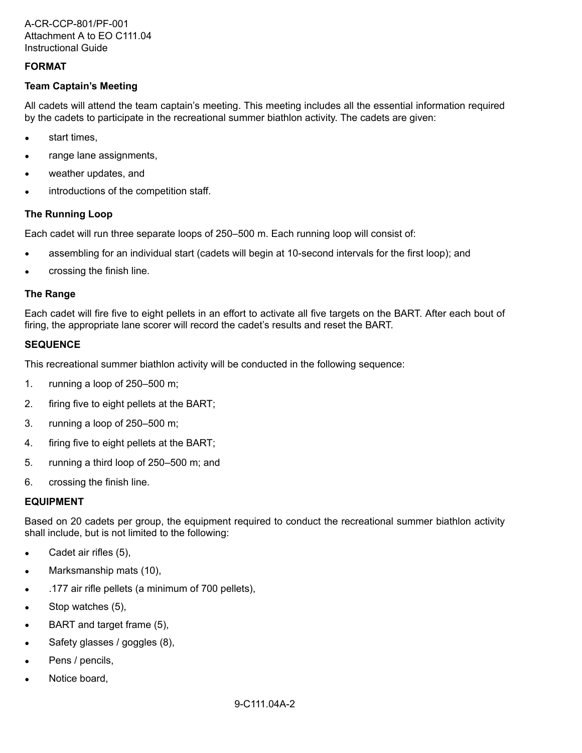### **FORMAT**

#### **Team Captain's Meeting**

All cadets will attend the team captain's meeting. This meeting includes all the essential information required by the cadets to participate in the recreational summer biathlon activity. The cadets are given:

- start times,
- range lane assignments,
- weather updates, and
- introductions of the competition staff.

# **The Running Loop**

Each cadet will run three separate loops of 250–500 m. Each running loop will consist of:

- assembling for an individual start (cadets will begin at 10-second intervals for the first loop); and
- crossing the finish line.

#### **The Range**

Each cadet will fire five to eight pellets in an effort to activate all five targets on the BART. After each bout of firing, the appropriate lane scorer will record the cadet's results and reset the BART.

#### **SEQUENCE**

This recreational summer biathlon activity will be conducted in the following sequence:

- 1. running a loop of 250–500 m;
- 2. firing five to eight pellets at the BART;
- 3. running a loop of 250–500 m;
- 4. firing five to eight pellets at the BART;
- 5. running a third loop of 250–500 m; and
- 6. crossing the finish line.

### **EQUIPMENT**

Based on 20 cadets per group, the equipment required to conduct the recreational summer biathlon activity shall include, but is not limited to the following:

- Cadet air rifles (5),
- Marksmanship mats (10),
- .177 air rifle pellets (a minimum of 700 pellets),
- Stop watches (5),
- BART and target frame (5),
- Safety glasses / goggles (8),
- Pens / pencils,
- Notice board,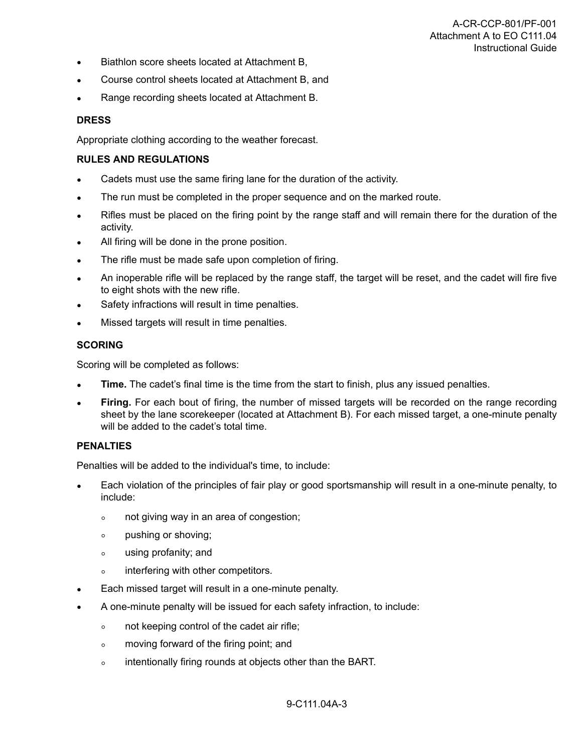- Biathlon score sheets located at Attachment B,
- Course control sheets located at Attachment B, and
- Range recording sheets located at Attachment B.

# **DRESS**

Appropriate clothing according to the weather forecast.

# **RULES AND REGULATIONS**

- Cadets must use the same firing lane for the duration of the activity.
- The run must be completed in the proper sequence and on the marked route.
- Rifles must be placed on the firing point by the range staff and will remain there for the duration of the activity.
- All firing will be done in the prone position.
- The rifle must be made safe upon completion of firing.
- An inoperable rifle will be replaced by the range staff, the target will be reset, and the cadet will fire five to eight shots with the new rifle.
- Safety infractions will result in time penalties.
- Missed targets will result in time penalties.

# **SCORING**

Scoring will be completed as follows:

- **Time.** The cadet's final time is the time from the start to finish, plus any issued penalties.
- **Firing.** For each bout of firing, the number of missed targets will be recorded on the range recording sheet by the lane scorekeeper (located at Attachment B). For each missed target, a one-minute penalty will be added to the cadet's total time.

### **PENALTIES**

Penalties will be added to the individual's time, to include:

- Each violation of the principles of fair play or good sportsmanship will result in a one-minute penalty, to include:
	- not giving way in an area of congestion;
	- pushing or shoving;
	- using profanity; and
	- interfering with other competitors.
- Each missed target will result in a one-minute penalty.
- A one-minute penalty will be issued for each safety infraction, to include:
	- not keeping control of the cadet air rifle;
	- moving forward of the firing point; and
	- intentionally firing rounds at objects other than the BART.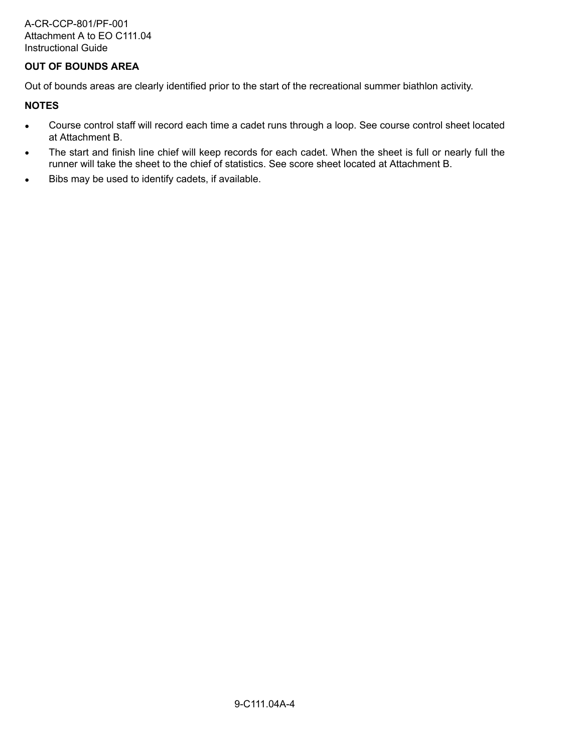# **OUT OF BOUNDS AREA**

Out of bounds areas are clearly identified prior to the start of the recreational summer biathlon activity.

# **NOTES**

- Course control staff will record each time a cadet runs through a loop. See course control sheet located at Attachment B.
- The start and finish line chief will keep records for each cadet. When the sheet is full or nearly full the runner will take the sheet to the chief of statistics. See score sheet located at Attachment B.
- Bibs may be used to identify cadets, if available.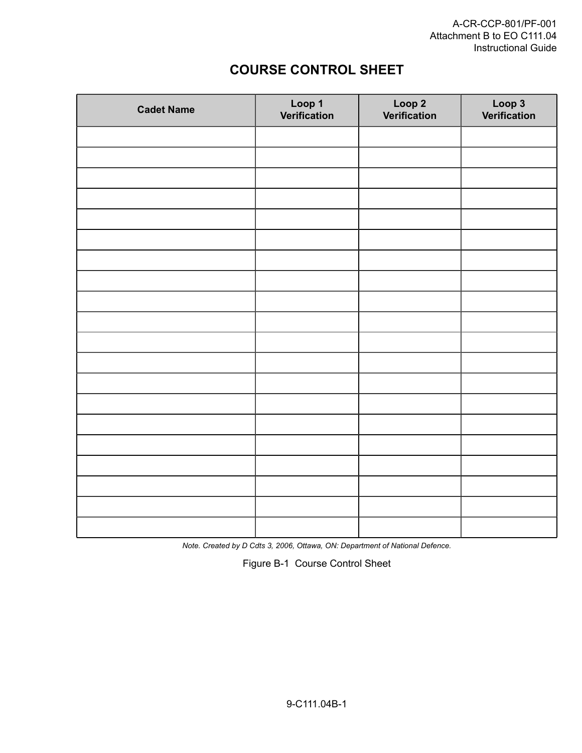# **COURSE CONTROL SHEET**

| <b>Cadet Name</b> | <b>Loop 1</b><br>Verification | Loop 2<br>Verification | Loop 3<br>Verification |
|-------------------|-------------------------------|------------------------|------------------------|
|                   |                               |                        |                        |
|                   |                               |                        |                        |
|                   |                               |                        |                        |
|                   |                               |                        |                        |
|                   |                               |                        |                        |
|                   |                               |                        |                        |
|                   |                               |                        |                        |
|                   |                               |                        |                        |
|                   |                               |                        |                        |
|                   |                               |                        |                        |
|                   |                               |                        |                        |
|                   |                               |                        |                        |
|                   |                               |                        |                        |
|                   |                               |                        |                        |
|                   |                               |                        |                        |
|                   |                               |                        |                        |
|                   |                               |                        |                        |
|                   |                               |                        |                        |
|                   |                               |                        |                        |
|                   |                               |                        |                        |

*Note. Created by D Cdts 3, 2006, Ottawa, ON: Department of National Defence.*

Figure B-1 Course Control Sheet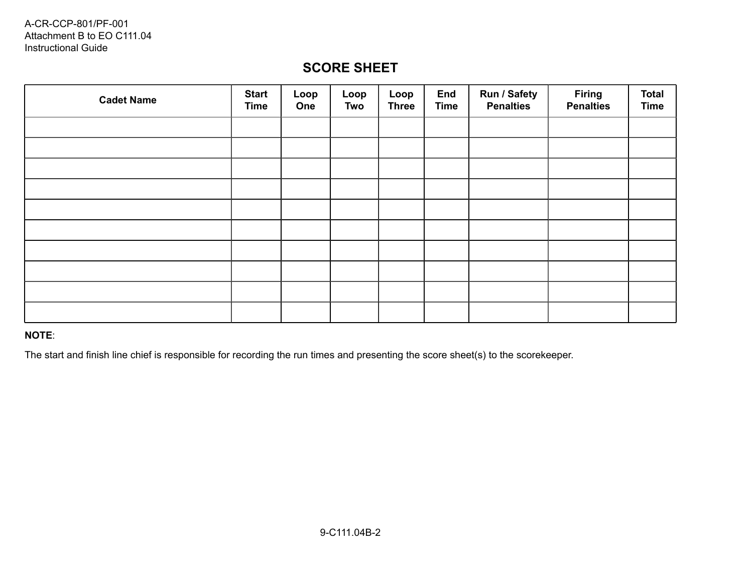# **SCORE SHEET**

| <b>Cadet Name</b> | <b>Start</b><br><b>Time</b> | Loop<br>One | Loop<br>Two | Loop<br><b>Three</b> | End<br><b>Time</b> | Run / Safety<br><b>Penalties</b> | <b>Firing</b><br><b>Penalties</b> | <b>Total</b><br><b>Time</b> |
|-------------------|-----------------------------|-------------|-------------|----------------------|--------------------|----------------------------------|-----------------------------------|-----------------------------|
|                   |                             |             |             |                      |                    |                                  |                                   |                             |
|                   |                             |             |             |                      |                    |                                  |                                   |                             |
|                   |                             |             |             |                      |                    |                                  |                                   |                             |
|                   |                             |             |             |                      |                    |                                  |                                   |                             |
|                   |                             |             |             |                      |                    |                                  |                                   |                             |
|                   |                             |             |             |                      |                    |                                  |                                   |                             |
|                   |                             |             |             |                      |                    |                                  |                                   |                             |
|                   |                             |             |             |                      |                    |                                  |                                   |                             |
|                   |                             |             |             |                      |                    |                                  |                                   |                             |
|                   |                             |             |             |                      |                    |                                  |                                   |                             |

# **NOTE**:

The start and finish line chief is responsible for recording the run times and presenting the score sheet(s) to the scorekeeper.